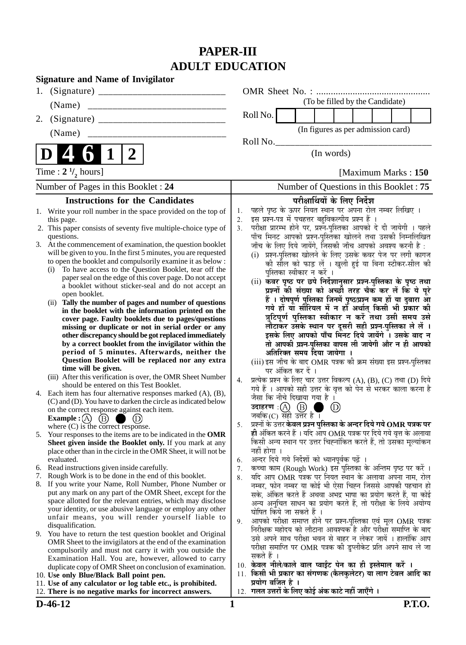# **PAPER-III ADULT EDUCATION**

| <b>Signature and Name of Invigilator</b>                                                                                                                                                                                                                                                                                                                                                                                                                                                                                                                                                                                                                                                                                                                                                                                                                                                                                                                                                                                             |                                                                                                                                                                                                                                                                                                                                                                                                                                                                                                                                                                                                                                                                                                                                                                                                                                                                                                                                                                                                                                                                                            |
|--------------------------------------------------------------------------------------------------------------------------------------------------------------------------------------------------------------------------------------------------------------------------------------------------------------------------------------------------------------------------------------------------------------------------------------------------------------------------------------------------------------------------------------------------------------------------------------------------------------------------------------------------------------------------------------------------------------------------------------------------------------------------------------------------------------------------------------------------------------------------------------------------------------------------------------------------------------------------------------------------------------------------------------|--------------------------------------------------------------------------------------------------------------------------------------------------------------------------------------------------------------------------------------------------------------------------------------------------------------------------------------------------------------------------------------------------------------------------------------------------------------------------------------------------------------------------------------------------------------------------------------------------------------------------------------------------------------------------------------------------------------------------------------------------------------------------------------------------------------------------------------------------------------------------------------------------------------------------------------------------------------------------------------------------------------------------------------------------------------------------------------------|
| 1.                                                                                                                                                                                                                                                                                                                                                                                                                                                                                                                                                                                                                                                                                                                                                                                                                                                                                                                                                                                                                                   |                                                                                                                                                                                                                                                                                                                                                                                                                                                                                                                                                                                                                                                                                                                                                                                                                                                                                                                                                                                                                                                                                            |
| (Name)                                                                                                                                                                                                                                                                                                                                                                                                                                                                                                                                                                                                                                                                                                                                                                                                                                                                                                                                                                                                                               | (To be filled by the Candidate)                                                                                                                                                                                                                                                                                                                                                                                                                                                                                                                                                                                                                                                                                                                                                                                                                                                                                                                                                                                                                                                            |
| 2.                                                                                                                                                                                                                                                                                                                                                                                                                                                                                                                                                                                                                                                                                                                                                                                                                                                                                                                                                                                                                                   | Roll No.                                                                                                                                                                                                                                                                                                                                                                                                                                                                                                                                                                                                                                                                                                                                                                                                                                                                                                                                                                                                                                                                                   |
| (Name)                                                                                                                                                                                                                                                                                                                                                                                                                                                                                                                                                                                                                                                                                                                                                                                                                                                                                                                                                                                                                               | (In figures as per admission card)                                                                                                                                                                                                                                                                                                                                                                                                                                                                                                                                                                                                                                                                                                                                                                                                                                                                                                                                                                                                                                                         |
|                                                                                                                                                                                                                                                                                                                                                                                                                                                                                                                                                                                                                                                                                                                                                                                                                                                                                                                                                                                                                                      | RollNo.                                                                                                                                                                                                                                                                                                                                                                                                                                                                                                                                                                                                                                                                                                                                                                                                                                                                                                                                                                                                                                                                                    |
| 2<br>D                                                                                                                                                                                                                                                                                                                                                                                                                                                                                                                                                                                                                                                                                                                                                                                                                                                                                                                                                                                                                               | (In words)                                                                                                                                                                                                                                                                                                                                                                                                                                                                                                                                                                                                                                                                                                                                                                                                                                                                                                                                                                                                                                                                                 |
| Time : $2 \frac{1}{2}$ hours]                                                                                                                                                                                                                                                                                                                                                                                                                                                                                                                                                                                                                                                                                                                                                                                                                                                                                                                                                                                                        | [Maximum Marks: 150]                                                                                                                                                                                                                                                                                                                                                                                                                                                                                                                                                                                                                                                                                                                                                                                                                                                                                                                                                                                                                                                                       |
| Number of Pages in this Booklet: 24                                                                                                                                                                                                                                                                                                                                                                                                                                                                                                                                                                                                                                                                                                                                                                                                                                                                                                                                                                                                  | Number of Questions in this Booklet : 75                                                                                                                                                                                                                                                                                                                                                                                                                                                                                                                                                                                                                                                                                                                                                                                                                                                                                                                                                                                                                                                   |
| <b>Instructions for the Candidates</b>                                                                                                                                                                                                                                                                                                                                                                                                                                                                                                                                                                                                                                                                                                                                                                                                                                                                                                                                                                                               | परीक्षार्थियों के लिए निर्देश                                                                                                                                                                                                                                                                                                                                                                                                                                                                                                                                                                                                                                                                                                                                                                                                                                                                                                                                                                                                                                                              |
| 1. Write your roll number in the space provided on the top of<br>this page.<br>2. This paper consists of seventy five multiple-choice type of<br>questions.<br>3. At the commencement of examination, the question booklet<br>will be given to you. In the first 5 minutes, you are requested<br>to open the booklet and compulsorily examine it as below :<br>To have access to the Question Booklet, tear off the<br>(i)<br>paper seal on the edge of this cover page. Do not accept<br>a booklet without sticker-seal and do not accept an<br>open booklet.<br>(ii) Tally the number of pages and number of questions<br>in the booklet with the information printed on the<br>cover page. Faulty booklets due to pages/questions<br>missing or duplicate or not in serial order or any<br>other discrepancy should be got replaced immediately<br>by a correct booklet from the invigilator within the<br>period of 5 minutes. Afterwards, neither the<br>Question Booklet will be replaced nor any extra<br>time will be given. | पहले पृष्ठ के ऊपर नियत स्थान पर अपना रोल नम्बर लिखिए ।<br>1.<br>इस प्रश्न-पत्र में पचहत्तर बहुविकल्पीय प्रश्न हैं<br>2.<br>परीक्षा प्रारम्भ होने पर, प्रश्न-पुस्तिका आपको दे दी जायेगी । पहले<br>3.<br>पाँच मिनट आपको प्रश्न-पुस्तिका खोलने तथा उसकी निम्नलिखित<br>जाँच के लिए दिये जायेंगे, जिसकी जाँच आपको अवश्य करनी है :<br>(i) प्रश्न-पुस्तिका खोलने के लिए उसके कवर पेज पर लगी कागज<br>की सील को फाड़ लें । खुली हुई या बिना स्टीकर-सील की<br>पुस्तिका स्वीकार न करें ।<br>(ii) कवर पृष्ठ पर छपे निर्देशानुसार प्रश्न-पुस्तिका के पृष्ठ तथा<br>प्रश्नों की संख्या को अच्छी तरह चैक कर लें कि ये पूरे<br>हैं । दोषपूर्ण पुस्तिका जिनमें पृष्ठ/प्रश्न कम हों या दुबारा आ<br>गये हों या सीरियल में न हों अर्थात् किसी भी प्रकार की<br>त्रुटिपूर्ण पुस्तिका स्वीकार न करें तथा उसी समय उसे<br>लौटाकर उसके स्थान पर दूसरी सही प्रश्न-पुस्तिका ले लें ।<br>इसके लिए आपको पाँच मिनट दिये जायेंगे । उसके बाद न<br>तो आपकी प्रश्न-पुस्तिका वापस ली जायेगी और न ही आपको<br>अतिरिक्त समय दिया जायेगा ।<br>(iii) इस जाँच के बाद OMR पत्रक की क्रम संख्या इस प्रश्न-पुस्तिका<br>पर अंकित कर दें । |
| (iii) After this verification is over, the OMR Sheet Number<br>should be entered on this Test Booklet.<br>4. Each item has four alternative responses marked (A), (B),<br>(C) and (D). You have to darken the circle as indicated below<br>on the correct response against each item.<br><b>Example</b> : $(A)$<br>(B)<br>(D<br>where $(C)$ is the correct response.                                                                                                                                                                                                                                                                                                                                                                                                                                                                                                                                                                                                                                                                 | प्रत्येक प्रश्न के लिए चार उत्तर विकल्प (A), (B), (C) तथा (D) दिये<br>4.<br>गये हैं । आपको सही उत्तर के वृत्त को पेन से भरकर काला करना है<br>जैसा कि नीचे दिखाया गया है ।<br>$\circled{D}$<br>जबकि $(C)$ सही उत्तर है ।<br>प्रश्नों के उत्तर <b>केवल प्रश्न पुस्तिका के अन्दर दिये गये OMR पत्रक पर</b><br>5.                                                                                                                                                                                                                                                                                                                                                                                                                                                                                                                                                                                                                                                                                                                                                                              |
| Your responses to the items are to be indicated in the OMR<br>5.<br>Sheet given inside the Booklet only. If you mark at any<br>place other than in the circle in the OMR Sheet, it will not be<br>evaluated.<br>6. Read instructions given inside carefully.                                                                                                                                                                                                                                                                                                                                                                                                                                                                                                                                                                                                                                                                                                                                                                         | ही अंकित करने हैं । यदि आप OMR पत्रक पर दिये गये वृत्त के अलावा<br>किसी अन्य स्थान पर उत्तर चिह्नांकित करते हैं, तो उसका मूल्यांकन<br>नहीं होगा ।<br>अन्दर दिये गये निर्देशों को ध्यानपूर्वक पढ़ें ।<br>6.<br>कच्चा काम (Rough Work) इस पुस्तिका के अन्तिम पृष्ठ पर करें ।<br>7.                                                                                                                                                                                                                                                                                                                                                                                                                                                                                                                                                                                                                                                                                                                                                                                                           |
| Rough Work is to be done in the end of this booklet.<br>7.                                                                                                                                                                                                                                                                                                                                                                                                                                                                                                                                                                                                                                                                                                                                                                                                                                                                                                                                                                           | यदि आप OMR पत्रक पर नियत स्थान के अलावा अपना नाम, रोल<br>8.                                                                                                                                                                                                                                                                                                                                                                                                                                                                                                                                                                                                                                                                                                                                                                                                                                                                                                                                                                                                                                |
| 8. If you write your Name, Roll Number, Phone Number or<br>put any mark on any part of the OMR Sheet, except for the<br>space allotted for the relevant entries, which may disclose<br>your identity, or use abusive language or employ any other<br>unfair means, you will render yourself liable to<br>disqualification.<br>9. You have to return the test question booklet and Original<br>OMR Sheet to the invigilators at the end of the examination<br>compulsorily and must not carry it with you outside the                                                                                                                                                                                                                                                                                                                                                                                                                                                                                                                 | नम्बर, फोन नम्बर या कोई भी ऐसा चिह्न जिससे आपकी पहचान हो<br>सके, अंकित करते हैं अथवा अभद्र भाषा का प्रयोग करते हैं, या कोई<br>अन्य अनुचित साधन का प्रयोग करते हैं, तो परीक्षा के लिये अयोग्य<br>घोषित किये जा सकते हैं ।<br>आपको परीक्षा समाप्त होने पर प्रश्न-पुस्तिका एवं मूल OMR पत्रक<br>9.<br>निरीक्षक महोदय को लौटाना आवश्यक है और परीक्षा समाप्ति के बाद<br>उसे अपने साथ परीक्षा भवन से बाहर न लेकर जायें । हालांकि आप<br>परीक्षा समाप्ति पर OMR पत्रक की डुप्लीकेट प्रति अपने साथ ले जा<br>सकते हैं ।                                                                                                                                                                                                                                                                                                                                                                                                                                                                                                                                                                              |
| Examination Hall. You are, however, allowed to carry<br>duplicate copy of OMR Sheet on conclusion of examination.<br>10. Use only Blue/Black Ball point pen.<br>11. Use of any calculator or log table etc., is prohibited.                                                                                                                                                                                                                                                                                                                                                                                                                                                                                                                                                                                                                                                                                                                                                                                                          | 10. केवल नीले/काले बाल प्वाईंट पेन का ही इस्तेमाल करें ।<br>किसी भी प्रकार का संगणक (कैलकुलेटर) या लाग टेबल आदि का<br>11.<br>प्रयोग वर्जित है ।                                                                                                                                                                                                                                                                                                                                                                                                                                                                                                                                                                                                                                                                                                                                                                                                                                                                                                                                            |

12. गलत उत्तरों के लिए कोई अंक काटे नहीं जाएँगे ।

12. **There is no negative marks for incorrect answers.**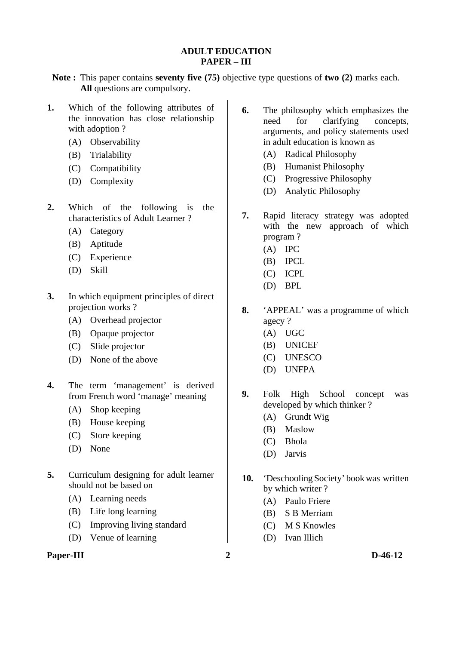## **ADULT EDUCATION PAPER – III**

- **Note :** This paper contains **seventy five (75)** objective type questions of **two (2)** marks each. **All** questions are compulsory.
- **1.** Which of the following attributes of the innovation has close relationship with adoption ?
	- (A) Observability
	- (B) Trialability
	- (C) Compatibility
	- (D) Complexity
- **2.** Which of the following is the characteristics of Adult Learner ?
	- (A) Category
	- (B) Aptitude
	- (C) Experience
	- (D) Skill
- **3.** In which equipment principles of direct projection works ?
	- (A) Overhead projector
	- (B) Opaque projector
	- (C) Slide projector
	- (D) None of the above
- **4.** The term 'management' is derived from French word 'manage' meaning
	- (A) Shop keeping
	- (B) House keeping
	- (C) Store keeping
	- (D) None
- **5.** Curriculum designing for adult learner should not be based on
	- (A) Learning needs
	- (B) Life long learning
	- (C) Improving living standard
	- (D) Venue of learning

### **Paper-III** 2 D-46-12

- **6.** The philosophy which emphasizes the need for clarifying concepts, arguments, and policy statements used in adult education is known as
	- (A) Radical Philosophy
	- (B) Humanist Philosophy
	- (C) Progressive Philosophy
	- (D) Analytic Philosophy
- **7.** Rapid literacy strategy was adopted with the new approach of which program ?
	- (A) IPC
	- (B) IPCL
	- (C) ICPL
	- (D) BPL
- **8.** 'APPEAL' was a programme of which agecy ?
	- (A) UGC
	- (B) UNICEF
	- (C) UNESCO
	- (D) UNFPA
- **9.** Folk High School concept was developed by which thinker ?
	- (A) Grundt Wig
	- (B) Maslow
	- (C) Bhola
	- (D) Jarvis
- **10.** 'Deschooling Society' bookwas written by which writer ?
	- (A) Paulo Friere
	- (B) S B Merriam
	- (C) M S Knowles
	- (D) Ivan Illich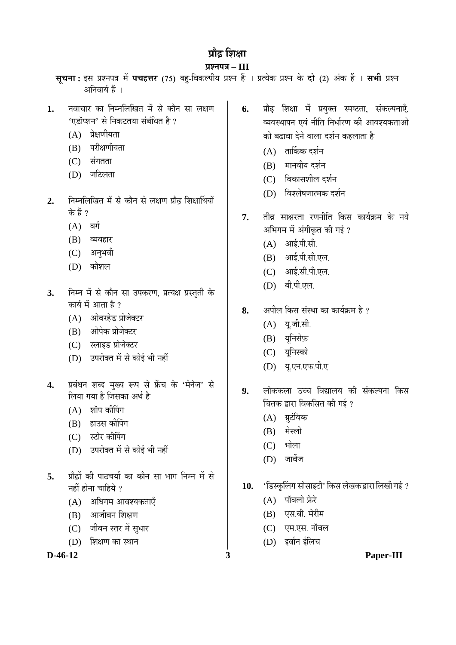# प्रौढ **शि**क्षा

## **¯ÖÏ¿®Ö¯Ö¡Ö – III**

- **सूचना:** इस प्रश्नपत्र में **पचहत्तर** (75) बहु-विकल्पीय प्रश्न हैं । प्रत्येक प्रश्न के **दो** (2) अंक हैं । सभी प्रश्न अनिवार्य हैं ।
- 1. नवाचार का निम्नलिखित में से कौन सा लक्षण 'एडॉप्शन' से निकटतया संबंधित है ?
	- $(A)$  प्रेक्षणीयता
	- $(B)$  परीक्षणीयता
	- $(C)$  संगतता
	- (D) जटिलता
- 2. निम्नलिखित में से कौन से लक्षण प्रौढ शिक्षार्थियों के हैं ?
	- $(A)$  वर्ग
	- (B) व्यवहार
	- (C) अनुभवी
	- (D) কীয়াল
- 3. Fith में से कौन सा उपकरण, प्रत्यक्ष प्रस्तुती के कार्य में आता है ?
	- (A) आंवरहेड प्रोजेक्टर
	- (B) ओपेक प्रोजेक्टर
	- (C) स्लाइड प्रोजेक्टर
	- (D) उपरोक्त में से कोई भी नहीं
- 4. प्रबंधन शब्द मुख्य रूप से फ्रेंच के 'मेनेज' से लिया गया है जिसका अर्थ है
	- $(A)$  शॉप कीपिंग
	- (B) हाउस कीपिंग
	- (C) स्टोर कीपिंग
	- (D) उपरोक्त में से कोई भी नहीं
- 5. प्रौढों की पाठचर्या का कौन सा भाग निम्न में से नहीं होना चाहिये ?
	- $(A)$  अधिगम आवश्यकताएँ
	- $(B)$  आजीवन शिक्षण
	- (C) जीवन स्तर में सुधार
	- $(D)$  शिक्षण का स्थान

- 6. प्रौढ़ शिक्षा में प्रयुक्त स्पष्टता, संकल्पनाएँ, व्यवस्थापन एवं नीति निर्धारण की आवश्यकताओ को बढावा देने वाला दर्शन कहलाता है
	- $(A)$  तार्किक दर्शन
	- $(B)$  मानवीय दर्शन
	- (C) विकासशील दर्शन
	- $(D)$  विश्लेषणात्मक दर्शन
- **7.** तीव्र साक्षरता रणनीति किस कार्यक्रम के नये अभिगम में अंगीकृत की गई ?
	- $(A)$  आई.पी.सी.
	- (B) आई.पी.सी.एल.
	- (C) आई.सी.पी.एल.
	- (D) बी.पी.एल.
- **8.** अपील किस संस्था का कार्यक्रम है ?
	- $(A)$  यू.जी.सी.
	- (B) यूनिसेफ़
	- (C) यूनिस्को
	- (D) य.एन.एफ.पी.ए
- 9. लोककला उच्च विद्यालय की संकल्पना किस चिंतक द्रारा विकसित की गई ?
	- (A) ग्रूटंविक
	- $(B)$  मेस्लो
	- $(C)$  भोला
	- $(D)$  जार्वेज
- 10. 'Gस्कूलिंग सोसाइटी' किस लेखक द्वारा लिखी गई ?
	- $(A)$  पॉवलो फ्रेरे
	- (B) एस.बी. मेरीम
	- (C) एम.एस. नॉवल
	- (D) इर्वान ईलिच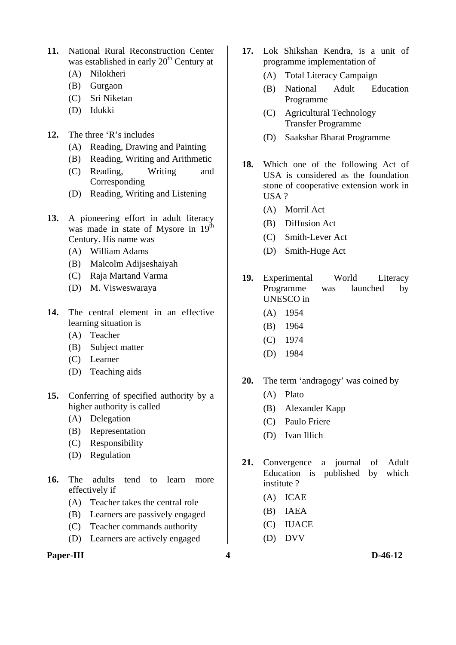- **11.** National Rural Reconstruction Center was established in early  $20<sup>th</sup>$  Century at
	- (A) Nilokheri
	- (B) Gurgaon
	- (C) Sri Niketan
	- (D) Idukki
- **12.** The three 'R's includes
	- (A) Reading, Drawing and Painting
	- (B) Reading, Writing and Arithmetic
	- (C) Reading, Writing and Corresponding
	- (D) Reading, Writing and Listening
- **13.** A pioneering effort in adult literacy was made in state of Mysore in  $19^{th}$ Century. His name was
	- (A) William Adams
	- (B) Malcolm Adijseshaiyah
	- (C) Raja Martand Varma
	- (D) M. Visweswaraya
- **14.** The central element in an effective learning situation is
	- (A) Teacher
	- (B) Subject matter
	- (C) Learner
	- (D) Teaching aids
- **15.** Conferring of specified authority by a higher authority is called
	- (A) Delegation
	- (B) Representation
	- (C) Responsibility
	- (D) Regulation
- **16.** The adults tend to learn more effectively if
	- (A) Teacher takes the central role
	- (B) Learners are passively engaged
	- (C) Teacher commands authority
	- (D) Learners are actively engaged

### **Paper-III** D-46-12

- **17.** Lok Shikshan Kendra, is a unit of programme implementation of
	- (A) Total Literacy Campaign
	- (B) National Adult Education Programme
	- (C) Agricultural Technology Transfer Programme
	- (D) Saakshar Bharat Programme
- **18.** Which one of the following Act of USA is considered as the foundation stone of cooperative extension work in USA ?
	- (A) Morril Act
	- (B) Diffusion Act
	- (C) Smith-Lever Act
	- (D) Smith-Huge Act
- **19.** Experimental World Literacy Programme was launched by UNESCO in
	- (A) 1954
	- (B) 1964
	- (C) 1974
	- (D) 1984
- **20.** The term 'andragogy' was coined by
	- (A) Plato
	- (B) Alexander Kapp
	- (C) Paulo Friere
	- (D) Ivan Illich
- **21.** Convergence a journal of Adult Education is published by which institute ?
	- (A) ICAE
	- (B) IAEA
	- (C) IUACE
	- (D) DVV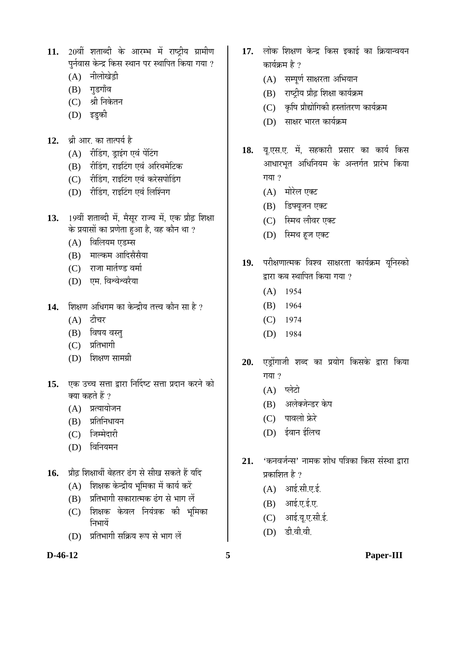- 11. 20वीं शताब्दी के आरम्भ में राष्ट्रीय ग्रामीण पुर्नवास केन्द्र किस स्थान पर स्थापित किया गया ?
	- $(A)$  नीलोखेड़ी
	- (B) गुडगाँव
	- (C) श्री निकेतन
	- (D) इड़की
- 12. श्री आर का तात्पर्य है
	- (A) रीडिंग, ड्राइंग एवं पेंटिंग
	- (B) रीडिंग, राइटिंग एवं अरिथमेटिक
	- (C) रीडिंग, राइटिंग एवं करेसपोडिंग
	- (D) रीडिंग, राइटिंग एवं लिश्निंग
- 13. 19वीं शताब्दी में, मैसूर राज्य में, एक प्रौढ़ शिक्षा के प्रयासों का प्रणेता हुआ है, वह कौन था ?
	- (A) विलियम एडम्स
	- (B) माल्कम आदिसैसैया
	- (C) राजा मार्तण्ड वर्मा
	- (D) एम. विश्वेश्वरैया
- 14. शिक्षण अधिगम का केन्द्रीय तत्त्व कौन सा है ?
	- $(A)$  टीचर
	- (B) विषय वस्त्
	- $(C)$  प्रतिभागी
	- (D) शिक्षण सामग्री
- 15. **एक उच्च सत्ता द्वारा निर्दिष्ट सत्ता प्रदान** करने को क्या कहते हैं ?
	- $(A)$  प्रत्यायोजन
	- $(B)$  प्रतिनिधायन
	- (C) जिम्मेदारी
	- $(D)$  विनियमन
- 16. प्रौढ शिक्षार्थी बेहतर ढंग से सीख सकते हैं यदि
	- $(A)$  शिक्षक केन्द्रीय भूमिका में कार्य करें
	- $(B)$  प्रतिभागी सकारात्मक ढंग से भाग लें
	- (C) शिक्षक केवल नियंत्रक की भूमिका निभायें
	- $(D)$  प्रतिभागी सक्रिय रूप से भाग लें

- 17. लोक शिक्षण केन्द्र किस इकाई का क्रियान्वयन कार्यक्रम है  $\overline{?}$ 
	- (A) सम्पूर्ण साक्षरता अभियान
	- $(B)$  राष्ट्रीय प्रौढ़ शिक्षा कार्यक्रम
	- (C) कृषि प्रौद्योगिकी हस्तांतरण कार्यक्रम
	- (D) साक्षर भारत कार्यक्रम
- 18. यू.एस.ए. में, सहकारी प्रसार का कार्य किस आधारभुत अधिनियम के अन्तर्गत प्रारंभ किया गया $?$ 
	- (A) मोरेल एक्ट
	- (B) डिफ्यूजन एक्ट
	- (C) स्मिथ लीवर एक्ट
	- (D) स्मिथ हूज एक्ट
- 19. परीक्षणात्मक विश्व साक्षरता कार्यक्रम यूनिस्को द्रारा कब स्थापित किया गया  $\overline{v}$ 
	- (A) 1954
	- (B) 1964
	- (C) 1974
	- (D) 1984
- 20. एड्रोंगाजी शब्द का प्रयोग किसके द्वारा किया गया $9$ 
	- (A) प्लेटो
	- (B) अलेक्जेन्डर केप
	- $(C)$  पावलो फ्रेरे
	- (D) ईवान ईलिच
- 21. 'कनवर्जन्स' नामक शोध पत्रिका किस संस्था द्वारा प्रकाशित है $\overline{2}$ 
	- $(A)$  आई.सी.ए.ई.
	- $(B)$  आई.ए.ई.ए.
	- (C) आई.यू.ए.सी.ई.
	- (D) डी.वी.वी.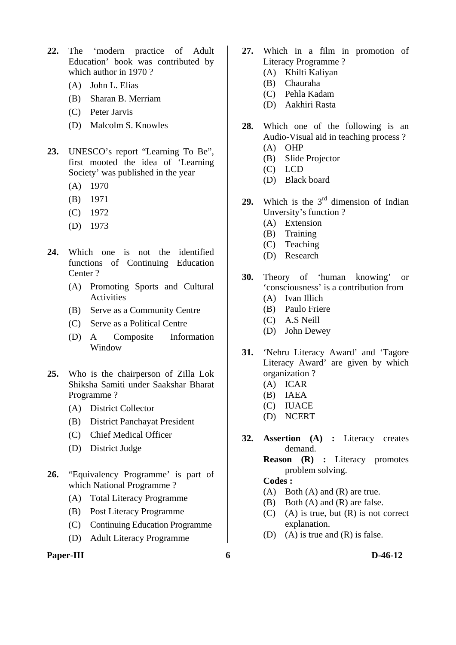- **22.** The 'modern practice of Adult Education' book was contributed by which author in 1970 ?
	- (A) John L. Elias
	- (B) Sharan B. Merriam
	- (C) Peter Jarvis
	- (D) Malcolm S. Knowles
- **23.** UNESCO's report "Learning To Be", first mooted the idea of 'Learning Society' was published in the year
	- (A) 1970
	- (B) 1971
	- (C) 1972
	- (D) 1973
- **24.** Which one is not the identified functions of Continuing Education Center ?
	- (A) Promoting Sports and Cultural Activities
	- (B) Serve as a Community Centre
	- (C) Serve as a Political Centre
	- (D) A Composite Information Window
- **25.** Who is the chairperson of Zilla Lok Shiksha Samiti under Saakshar Bharat Programme ?
	- (A) District Collector
	- (B) District Panchayat President
	- (C) Chief Medical Officer
	- (D) District Judge
- **26.** "Equivalency Programme' is part of which National Programme ?
	- (A) Total Literacy Programme
	- (B) Post Literacy Programme
	- (C) Continuing Education Programme
	- (D) Adult Literacy Programme

#### **Paper-III b**-46-12

- **27.** Which in a film in promotion of Literacy Programme ?
	- (A) Khilti Kaliyan
	- (B) Chauraha
	- (C) Pehla Kadam
	- (D) Aakhiri Rasta
- **28.** Which one of the following is an Audio-Visual aid in teaching process ? (A) OHP
	-
	- (B) Slide Projector
	- (C) LCD
	- (D) Black board
- 29. Which is the 3<sup>rd</sup> dimension of Indian Unversity's function ?
	- (A) Extension
	- (B) Training
	- (C) Teaching
	- (D) Research
- **30.** Theory of 'human knowing' or 'consciousness' is a contribution from
	- (A) Ivan Illich
	- (B) Paulo Friere
	- (C) A.S Neill
	- (D) John Dewey
- **31.** 'Nehru Literacy Award' and 'Tagore Literacy Award' are given by which organization ?
	- (A) ICAR
	- (B) IAEA
	- (C) IUACE
	- (D) NCERT
- **32. Assertion (A) :** Literacy creates demand.

 **Reason (R) :** Literacy promotes problem solving.

- (A) Both (A) and (R) are true.
- (B) Both (A) and (R) are false.
- (C) (A) is true, but (R) is not correct explanation.
- (D) (A) is true and (R) is false.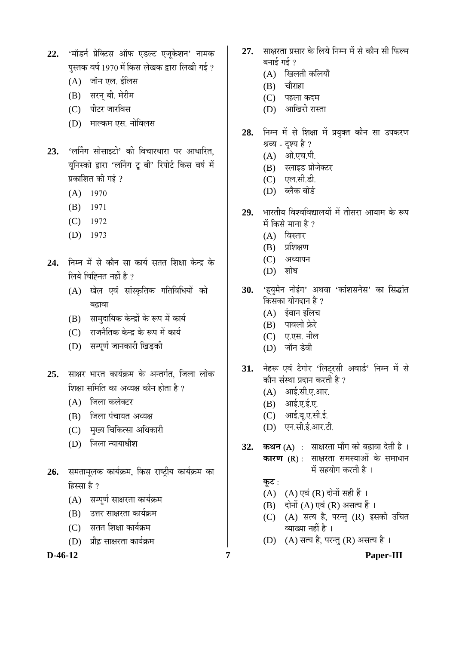- 22. 'मॉडर्न प्रेक्टिस ऑफ एडल्ट एजूकेशन' नामक पस्तक वर्ष 1970 में किस लेखक द्वारा लिखी गई ?
	- $(A)$  जॉन एल. ईलिस
	- (B) सरन् बी. मेरीम
	- (C) पीटर जारविस
	- (D) माल्कम एस. नोविलस
- 23. 'लर्निंग सोसाइटी' की विचारधारा पर आधारित, यनिस्को द्वारा 'लर्निंग ट् बी' रिपोर्ट किस वर्ष में प्रकाशित की गई  $\overline{v}$ 
	- (A) 1970
	- (B) 1971
	- (C) 1972
	- (D) 1973
- 24. निम्न में से कौन सा कार्य सतत शिक्षा केन्द्र के लिये चिह्निनत नहीं है ?
	- (A) खेल एवं सांस्कृतिक गतिविधियों को बढावा
	- (B) सामदायिक केन्द्रों के रूप में कार्य
	- $(C)$  । राजनैतिक केन्द्र के रूप में कार्य
	- (D) सम्पूर्ण जानकारी खिड़की
- 25. साक्षर भारत कार्यक्रम के अन्तर्गत, जिला लोक शिक्षा समिति का अध्यक्ष कौन होता है ?
	- (A) जिला कलेक्टर
	- $(B)$  जिला पंचायत अध्यक्ष
	- (C) मुख्य चिकित्सा अधिकारी
	- $(D)$  जिला न्यायाधीश
- 26. समतामूलक कार्यक्रम, किस राष्ट्रीय कार्यक्रम का  $k$ स्मा है ?
	- (A) सम्पूर्ण साक्षरता कार्यक्रम
	- (B) उत्तर साक्षरता कार्यक्रम
	- (C) सतत शिक्षा कार्यक्रम
	- (D) प्रौढ साक्षरता कार्यक्रम

- 27. साक्षरता प्रसार के लिये निम्न में से कौन सी फिल्म बनाई गई  $\it ?$ 
	- (A) खिलती कलियाँ
	- $(B)$  चौराहा
	- (C) पहला कदम
	- (D) आखिरी रास्ता
- 28. निम्न में से शिक्षा में प्रयुक्त कौन सा उपकरण श्रव्य - दृश्य है ?
	- (A) ओ.एच.पी.
	-
	- (B) स्लाइड प्रोजेक्टर
	- (C) एल.सी.डी.
	- (D) ब्लैक बोर्ड
- 29. भारतीय विश्वविद्यालयों में तीसरा आयाम के रूप में किसे माना है  $\overline{v}$ 
	- $(A)$  विस्तार
	- $(B)$  प्रशिक्षण
	- (C) अध्यापन
	- $(D)$  शोध
- 30. 'हयुमेन नोइंग' अथवा 'कांशसनेस' का सिद्धांत किसका योगदान है ?
	- $(A)$  ईवान इलिच
	- (B) पावलो फ्रेरे
	- (C) ए.एस. नील
	- (D) जॉन डेवी
- 31. नेहरू एवं टैगोर 'लिटरसी अवार्ड' निम्न में से कौन संस्था प्रदान करती है ?
	- $(A)$  आई.सी.ए.आर.
	- $(B)$  आई.ए.ई.ए.
	- $(C)$  आई.यू.ए.सी.ई.
	- (D) एन.सी.ई.आर.टी.
- **32. कथन (A) : साक्षरता माँग को बढ़ावा देती है**। **कारण (R)** : साक्षरता समस्याओं के समाधान में सहयोग करती है ।

## <u>क</u>ूट:

- $(A)$   $(A)$  एवं  $(R)$  दोनों सही हैं ।
- $(B)$  दोनों  $(A)$  एवं  $(R)$  असत्य हैं।
- $(C)$   $(A)$  सत्य है, परन्तु  $(R)$  इसकी उचित व्याख्या नहीं है ।
- (D) (A) सत्य है, परन्तु (R) असत्य है।

**D-46-12 7 Paper-III**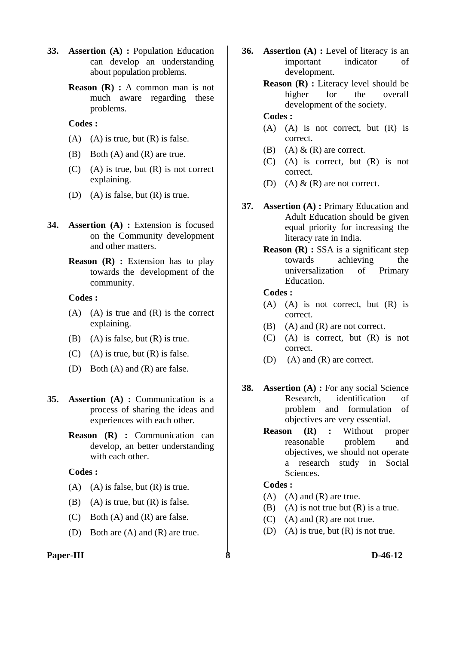- **33. Assertion (A) :** Population Education can develop an understanding about population problems.
	- **Reason** (**R**) : A common man is not much aware regarding these problems.

- (A) (A) is true, but  $(R)$  is false.
- (B) Both (A) and (R) are true.
- $(C)$  (A) is true, but  $(R)$  is not correct explaining.
- (D) (A) is false, but  $(R)$  is true.
- **34. Assertion (A) :** Extension is focused on the Community development and other matters.
	- **Reason** (**R**) : Extension has to play towards the development of the community.

#### **Codes :**

- $(A)$   $(A)$  is true and  $(R)$  is the correct explaining.
- (B) (A) is false, but  $(R)$  is true.
- $(C)$  (A) is true, but  $(R)$  is false.
- (D) Both (A) and (R) are false.
- **35. Assertion (A) :** Communication is a process of sharing the ideas and experiences with each other.
	- **Reason (R) :** Communication can develop, an better understanding with each other.

#### **Codes :**

- $(A)$   $(A)$  is false, but  $(R)$  is true.
- (B) (A) is true, but  $(R)$  is false.
- (C) Both (A) and (R) are false.
- (D) Both are (A) and (R) are true.

### **Paper-III 8 D-46-12**

- **36. Assertion (A) :** Level of literacy is an important indicator of development.
	- **Reason (R) :** Literacy level should be higher for the overall development of the society.

## **Codes :**

- (A) (A) is not correct, but (R) is correct.
- (B) (A)  $\&$  (R) are correct.
- (C) (A) is correct, but (R) is not correct.
- (D) (A)  $\&$  (R) are not correct.
- **37. Assertion (A) :** Primary Education and Adult Education should be given equal priority for increasing the literacy rate in India.
	- **Reason (R) :** SSA is a significant step towards achieving the universalization of Primary Education.

#### **Codes :**

- (A) (A) is not correct, but (R) is correct.
- (B) (A) and (R) are not correct.
- (C) (A) is correct, but (R) is not correct.
- (D) (A) and (R) are correct.
- **38. Assertion (A) :** For any social Science Research, identification of problem and formulation of objectives are very essential.
	- **Reason (R) :** Without proper reasonable problem and objectives, we should not operate a research study in Social Sciences.

- (A) (A) and (R) are true.
- (B) (A) is not true but  $(R)$  is a true.
- (C) (A) and (R) are not true.
- (D) (A) is true, but  $(R)$  is not true.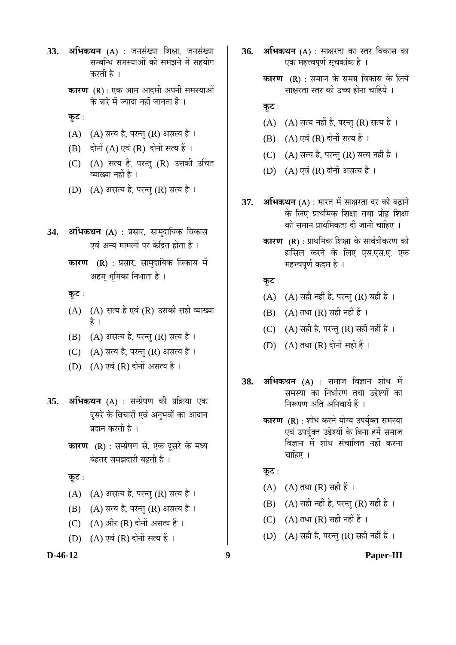- 33. अभिकथन (A) : जनसंख्या शिक्षा, जनसंख्या सम्बन्धि समस्याओं को समझने में सहयोग करती है ।
	- **कारण (R)** : एक आम आदमी अपनी समस्याओं के बारे में ज्यादा नहीं जानता हैं ।
	- <u>क</u>ूट:
	- $(A)$   $(A)$  सत्य है, परन्तु  $(R)$  असत्य है।
	- $(B)$  दोनों  $(A)$  एवं  $(R)$  दोनो सत्य हैं।
	- (C) (A) सत्य है, परन्तु (R) उसकी उचित व्याख्या नहीं है ।
	- (D) (A) असत्य है, परन्तु (R) सत्य है।
- 34. **अभिकथन** (A) : प्रसार, सामुदायिक विकास एवं अन्य मामलों पर केंद्रित होता है ।
	- **कारण (R)** : प्रसार, सामुदायिक विकास में अहम् भूमिका निभाता है ।
	- **कूट:**
	- $(A)$   $(A)$  सत्य है एवं  $(R)$  उसकी सही व्याख्या हे ।
	- $(B)$   $(A)$  असत्य है, परन्तु  $(R)$  सत्य है ।
	- (C) (A) सत्य है, परन्तु (R) असत्य है।
	- (D) (A) एवं (R) दोनों असत्य हैं ।
- **35. अभिकथन (A)** : सम्प्रेषण की प्रक्रिया एक दसरे के विचारों एवं अनुभवों का आदान प्रदान करती है ।
	- **कारण (R)** : सम्प्रेषण से, एक दूसरे के मध्य बेहतर समझदारी बढती है ।
	- <u>क</u>ूट :
	- $(A)$   $(A)$  असत्य है, परन्तु  $(R)$  सत्य है।
	- (B) (A) सत्य है, परन्तु (R) असत्य है।
	- (C)  $(A)$  और  $(R)$  दोनों असत्य हैं।
	- (D) (A) एवं (R) दोनों सत्य हैं ।
- 
- **36. अभिकथन** (A) : साक्षरता का स्तर विकास का एक महत्त्वपर्ण सचकांक है ।
	- **कारण (R)** : समाज के समग्र विकास के लिये साक्षरता स्तर को उच्च होना चाहिये ।
	- **कूट**:
	- (A)  $(A)$  सत्य नहीं है, परन्तु (R) सत्य है।
	- $(B)$   $(A)$  एवं  $(R)$  दोनों सत्य हैं ।
	- $(C)$   $(A)$  सत्य है, परन्तु  $(R)$  सत्य नहीं है।
	- (D)  $(A)$  एवं  $(R)$  दोनों असत्य हैं।
- 37. अभिकथन (A) : भारत में साक्षरता दर को बढ़ाने के लिए प्राथमिक शिक्षा तथा प्रौढ़ शिक्षा को समान प्राथमिकता दी जानी चाहिए ।
	- **कारण (R)** : प्राथमिक शिक्षा के सार्वत्रीकरण को हासिल करने के लिए एस.एस.ए. एक महत्त्वपूर्ण कदम है ।
	- **कूट:**
	- (A)  $(A)$  सही नहीं है, परन्तु (R) सही है।
	- $(B)$   $(A)$  तथा  $(R)$  सही नहीं हैं ।
	- (C) (A) सही है, परन्तु (R) सही नहीं है।
	- (D)  $(A)$  तथा  $(R)$  दोनों सही हैं ।
- **38. अभिकथन (A)** : समाज विज्ञान शोध में समस्या का निर्धारण तथा उद्देश्यों का निरूपण अति अनिवार्य हैं ।
	- **कारण (R)** : शोध करने योग्य उपर्युक्त समस्या एवं उपर्युक्त उद्देश्यों के बिना हमें समाज <u>विज्ञान में शोध संचालित नहीं करना</u> चाहिए $|$ ।

<u>क</u>ूट :

- $(A)$   $(A)$  तथा  $(R)$  सही हैं ।
- (B) (A) सही नहीं है, परन्तु (R) सही है।
- (C)  $(A)$  तथा  $(R)$  सही नहीं हैं ।
- (D) (A) सही है, परन्तु (R) सही नहीं है ।
- **D-46-12 9 Paper-III**
-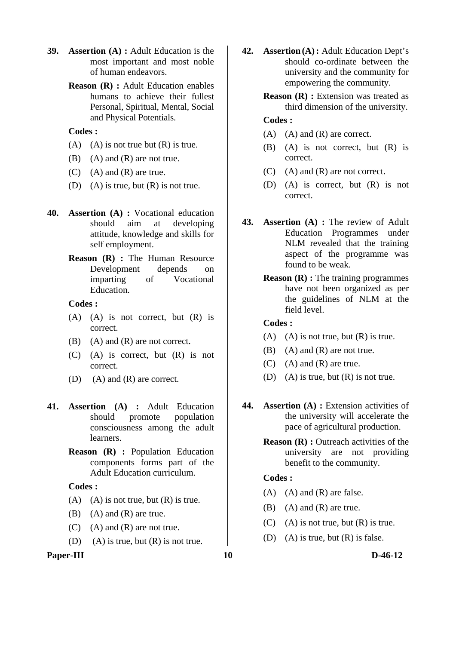- **39. Assertion (A) :** Adult Education is the most important and most noble of human endeavors.
	- **Reason (R) :** Adult Education enables humans to achieve their fullest Personal, Spiritual, Mental, Social and Physical Potentials.

- (A) (A) is not true but  $(R)$  is true.
- (B) (A) and (R) are not true.
- $(C)$  (A) and  $(R)$  are true.
- (D) (A) is true, but  $(R)$  is not true.
- **40. Assertion (A) :** Vocational education should aim at developing attitude, knowledge and skills for self employment.
	- **Reason (R) :** The Human Resource Development depends on imparting of Vocational Education.

#### **Codes :**

- (A) (A) is not correct, but (R) is correct.
- (B) (A) and (R) are not correct.
- (C) (A) is correct, but (R) is not correct.
- (D) (A) and (R) are correct.
- **41. Assertion (A) :** Adult Education should promote population consciousness among the adult learners.
	- **Reason (R) :** Population Education components forms part of the Adult Education curriculum.

## **Codes :**

- (A) (A) is not true, but  $(R)$  is true.
- $(B)$   $(A)$  and  $(R)$  are true.
- (C) (A) and (R) are not true.
- (D) (A) is true, but  $(R)$  is not true.

#### Paper-III **D-46-12**

- **42. Assertion (A):** Adult Education Dept's should co-ordinate between the university and the community for empowering the community.
	- **Reason (R) :** Extension was treated as third dimension of the university.

## **Codes :**

- $(A)$   $(A)$  and  $(R)$  are correct.
- (B) (A) is not correct, but (R) is correct.
- (C) (A) and (R) are not correct.
- (D) (A) is correct, but (R) is not correct.
- **43. Assertion (A) :** The review of Adult Education Programmes under NLM revealed that the training aspect of the programme was found to be weak.
	- **Reason (R) :** The training programmes have not been organized as per the guidelines of NLM at the field level.

## **Codes :**

- (A) (A) is not true, but  $(R)$  is true.
- (B) (A) and (R) are not true.
- $(C)$  (A) and  $(R)$  are true.
- (D) (A) is true, but  $(R)$  is not true.
- **44. Assertion (A) :** Extension activities of the university will accelerate the pace of agricultural production.
	- **Reason (R) :** Outreach activities of the university are not providing benefit to the community.

- $(A)$   $(A)$  and  $(R)$  are false.
- (B) (A) and (R) are true.
- $(C)$  (A) is not true, but  $(R)$  is true.
- (D) (A) is true, but (R) is false.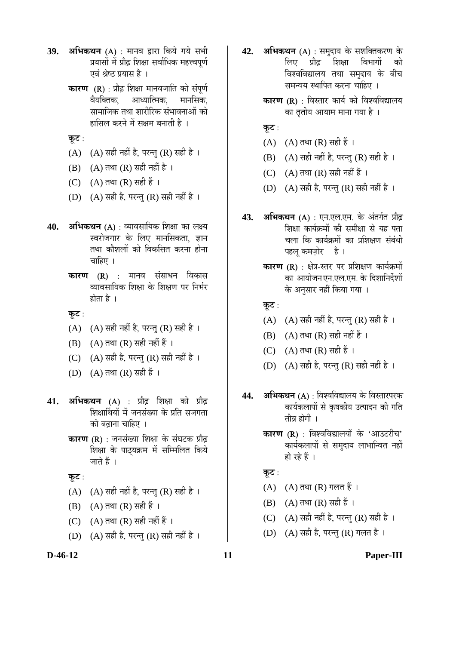- **39. अभिकथन (A) : मानव द्वारा किये गये सभी** प्रयासों में प्रौढ शिक्षा सर्वाधिक महत्त्वपर्ण एवं श्रेष्ठ प्रयास है ।
	- **कारण (R)** : प्रौढ़ शिक्षा मानवजाति को संपूर्ण वैयक्तिक, आध्यात्मिक, मानसिक, सामाजिक तथा शारीरिक संभावनाओं को हासिल करने में सक्षम बनाती है ।
	- <u>क</u>ूट:
	- (A)  $(A)$  सही नहीं है, परन्तु (R) सही है।
	- $(B)$   $(A)$  तथा  $(R)$  सही नहीं है ।
	- (C)  $(A)$  तथा  $(R)$  सही हैं ।
	- (D)  $(A)$  सही है, परन्तु (R) सही नहीं है ।
- **40. अभिकथन** (A) : व्यावसायिक शिक्षा का लक्ष्य स्वरोजगार के लिए मानसिकता, ज्ञान तथा कौशलों को विकसित करना होना चाहिए $\perp$ 
	- **कारण (R)** : मानव संसाधन विकास व्यावसायिक शिक्षा के शिक्षण पर निर्भर होता है $\perp$

**कूट**:

- (A)  $(A)$  सही नहीं है, परन्तु (R) सही है।
- $(B)$   $(A)$  तथा  $(R)$  सही नहीं हैं ।
- (C)  $(A)$  सही है, परन्तु (R) सही नहीं है।
- (D)  $(A)$  तथा  $(R)$  सही हैं ।
- **41. अभिकथन (A) : प्रौढ़ शिक्षा को प्रौढ़** शिक्षार्थियों में जनसंख्या के प्रति सजगता को बढाना चाहिए ।
	- **कारण (R)** : जनसंख्या शिक्षा के संघटक प्रौढ़ शिक्षा के पाठयक्रम में सम्मिलित किये जाते हैं ।

<u>क</u>ट:

- (A)  $(A)$  सही नहीं है, परन्तु (R) सही है।
- $(B)$   $(A)$  तथा  $(R)$  सही हैं ।
- (C)  $(A)$  तथा  $(R)$  सही नहीं हैं ।
- (D) (A) सही है, परन्तु (R) सही नहीं है ।
- **42. अभिकथन** (A) : समुदाय के सशक्तिकरण के लिए प्रौढ शिक्षा विभागों को विश्वविद्यालय तथा समदाय के बीच समन्वय स्थापित करना चाहिए ।
	- **कारण (R)** : विस्तार कार्य को विश्वविद्यालय का तृतीय आयाम माना गया है ।
	- <u>क</u>ूट :
	- $(A)$   $(A)$  तथा  $(R)$  सही हैं ।
	- (B) (A) सही नहीं है, परन्तु (R) सही है।
	- $(C)$   $(A)$  तथा  $(R)$  सही नहीं हैं ।
	- (D) (A) सही है, परन्तु (R) सही नहीं है।
- **43. अभिकथन (A)** : एन.एल.एम. के अंतर्गत प्रौढ़ शिक्षा कार्यक्रमों की समीक्षा से यह पता चला कि कार्यक्रमों का प्रशिक्षण संबंधी पहल कमज़ोर है।
	- **कारण (R)** : क्षेत्र-स्तर पर प्रशिक्षण कार्यक्रमों का आयोजनएन.एल.एम. के दिशानिर्देशों के अनुसार नहीं किया गया ।

<u>क</u>ूट:

- (A)  $(A)$  सही नहीं है, परन्तु (R) सही है।
- $(B)$   $(A)$  तथा  $(R)$  सही नहीं हैं ।
- (C)  $(A)$  तथा  $(R)$  सही हैं ।
- (D) (A) सही है, परन्तु (R) सही नहीं है।
- **44. अभिकथन** (A) : विश्वविद्यालय के विस्तारपरक कार्यकलापों से कृषकीय उत्पादन की गति तीव्र होगी ।
	- **कारण (R)** : विश्वविद्यालयों के 'आउटरीच' कार्यकलापों से समुदाय लाभान्वित नहीं हो रहे हैं ।

<u>कूट :</u>

- $(A)$   $(A)$  तथा  $(R)$  गलत हैं ।
- $(B)$  (A) तथा  $(R)$  सही हैं ।
- (C) (A) सही नहीं है, परन्तु (R) सही है।
- (D)  $(A)$  सही है, परन्त $(R)$  गलत है।

#### **D-46-12 11 Paper-III**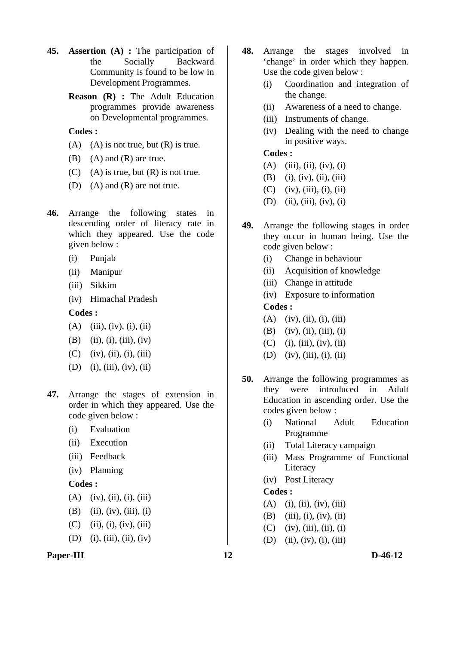- **45. Assertion (A) :** The participation of the Socially Backward Community is found to be low in Development Programmes.
	- **Reason (R) :** The Adult Education programmes provide awareness on Developmental programmes.

- (A) (A) is not true, but  $(R)$  is true.
- (B) (A) and (R) are true.
- (C) (A) is true, but  $(R)$  is not true.
- (D) (A) and (R) are not true.
- **46.** Arrange the following states in descending order of literacy rate in which they appeared. Use the code given below :
	- (i) Punjab
	- (ii) Manipur
	- (iii) Sikkim
	- (iv) Himachal Pradesh

### **Codes :**

- $(A)$  (iii), (iv), (i), (ii)
- (B) (ii), (i), (iii), (iv)
- $(C)$  (iv), (ii), (i), (iii)
- (D) (i), (iii), (iv), (ii)
- **47.** Arrange the stages of extension in order in which they appeared. Use the code given below :
	- (i) Evaluation
	- (ii) Execution
	- (iii) Feedback
	- (iv) Planning

## **Codes :**

- $(A)$  (iv), (ii), (i), (iii)
- (B) (ii), (iv), (iii), (i)
- $(C)$  (ii), (i), (iv), (iii)
- (D) (i), (iii), (ii), (iv)
- **Paper-III** D-46-12
- **48.** Arrange the stages involved in 'change' in order which they happen. Use the code given below :
	- (i) Coordination and integration of the change.
	- (ii) Awareness of a need to change.
	- (iii) Instruments of change.
	- (iv) Dealing with the need to change in positive ways.

## **Codes :**

- (A) (iii), (ii), (iv), (i)
- $(B)$  (i), (iv), (ii), (iii)
- $(C)$  (iv), (iii), (i), (ii)
- $(D)$  (ii), (iii), (iv), (i)
- **49.** Arrange the following stages in order they occur in human being. Use the code given below :
	- (i) Change in behaviour
	- (ii) Acquisition of knowledge
	- (iii) Change in attitude
	- (iv) Exposure to information

## **Codes :**

- $(A)$  (iv), (ii), (i), (iii)
- $(B)$  (iv), (ii), (iii), (i)
- $(C)$  (i), (iii), (iv), (ii)
- (D) (iv), (iii), (i), (ii)
- **50.** Arrange the following programmes as they were introduced in Adult Education in ascending order. Use the codes given below :
	- (i) National Adult Education Programme
	- (ii) Total Literacy campaign
	- (iii) Mass Programme of Functional Literacy
	- (iv) Post Literacy

- $(A)$  (i), (ii), (iv), (iii)
- (B) (iii), (i), (iv), (ii)
- $(C)$  (iv), (iii), (ii), (i)
- (D) (ii), (iv), (i), (iii)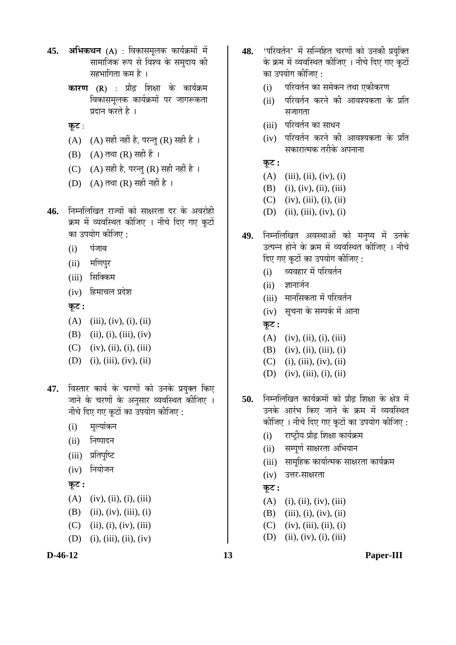- **45. अभिकथन** (A) : विकासमुलक कार्यक्रमों में सामाजिक रूप से विश्व के समुदाय की सहभागिता कम है ।
	- **कारण (R) : प्रौढ़ शिक्षा के कार्यक्रम** विकासमलक कार्यक्रमों पर जागरूकता प्रदान करते है $\perp$
	- **कूट:**
	- (A) (A) सही नहीं है, परन्तु (R) सही है।
	- (B)  $(A)$  तथा  $(R)$  सही हैं ।
	- (C)  $(A)$  सही है, परन्तु (R) सही नहीं है ।
	- (D)  $(A)$  तथा  $(R)$  सही नहीं है ।
- 46. निम्नलिखित राज्यों को साक्षरता दर के अवरोही क्रम में व्यवस्थित कीजिए । नीचे दिए गए कुटों का उपयोग कीजिए :
	- $(i)$  पंजाब
	- (ii) मणिपुर
	- (iii) सिक्किम
	- $(iv)$  हिमाचल प्रदेश

 $\Phi$ **:** 

- $(A)$  (iii), (iv), (i), (ii)
- (B) (ii), (i), (iii), (iv)
- $(C)$  (iv), (ii), (i), (iii)
- $(D)$  (i), (iii), (iv), (ii)
- 47. विस्तार कार्य के चरणों को उनके प्रयुक्त किए जाने के चरणों के अनुसार व्यवस्थित कीजिए । नीचे दिए गए कूटों का उपयोग कीजिए :
	- (i) मुल्यांकन
	- (ii) निष्पादन
	- (iii) प्रतिपुष्टि
	- $(iv)$  नियोजन

## $\overline{q}$ ः

- $(A)$  (iv), (ii), (i), (iii)
- (B) (ii), (iv), (iii), (i)
- (C) (ii), (i), (iv), (iii)
- (D) (i), (iii), (ii), (iv)



- 48. 'परिवर्तन' में सन्निहित चरणों को उनकी प्रयक्ति के क्रम में व्यवस्थित कीजिए । नीचे दिए गए कुटों का उपयोग कीजिए :
	- (i) परिवर्तन का समेकन तथा एकीकरण
	- (ii) परिवर्तन करने की आवश्यकता के प्रति सजागता
	- (iii) परिवर्तन का साधन
	- (iv) परिवर्तन करने की आवश्यकता के प्रति सकारात्मक तरीके अपनाना

## $\overline{\Phi}$ :

- $(A)$  (iii), (ii), (iv), (i)
- (B) (i), (iv), (ii), (iii)
- $(C)$  (iv), (iii), (i), (ii)
- (D) (ii), (iii), (iv), (i)
- 49. निम्नलिखित अवस्थाओं को मनुष्य में उनके उत्पन्न होने के क्रम में व्यवस्थित कोजिए । नीचे दिए गए कटों का उपयोग कीजिए :
	- (i) व्यवहार में परिवर्तन
	- $(ii)$  ज्ञानार्जन
	- (iii) मानसिकता में परिवर्तन
	- (iv) सूचना के सम्पर्क में आना
	- $\overline{a}$ ः
	- $(A)$  (iv), (ii), (i), (iii)
	- $(B)$  (iv), (ii), (iii), (i)
	- $(C)$  (i), (iii), (iv), (ii)
	- (D) (iv), (iii), (i), (ii)
- 50. ਜਿਸਗਿਰਿਕ कार्यक्रमों को प्रौढ शिक्षा के क्षेत्र में उनके आरंभ किए जाने के क्रम में व्यवस्थित कीजिए । नीचे दिए गए कूटों का उपयोग कीजिए :
	- (i) राष्ट्रीय प्रौढ़ शिक्षा कार्यक्रम
	- (ii) सम्पर्ण साक्षरता अभियान
	- (iii) सामुहिक कार्यात्मक साक्षरता कार्यक्रम
	- $(iv)$  उत्तर-साक्षरता

#### $\overline{\Phi}$ :

- $(A)$  (i), (ii), (iv), (iii)
- (B) (iii), (i), (iv), (ii)
- $(C)$  (iv), (iii), (ii), (i)
- $(D)$  (ii), (iv), (i), (iii)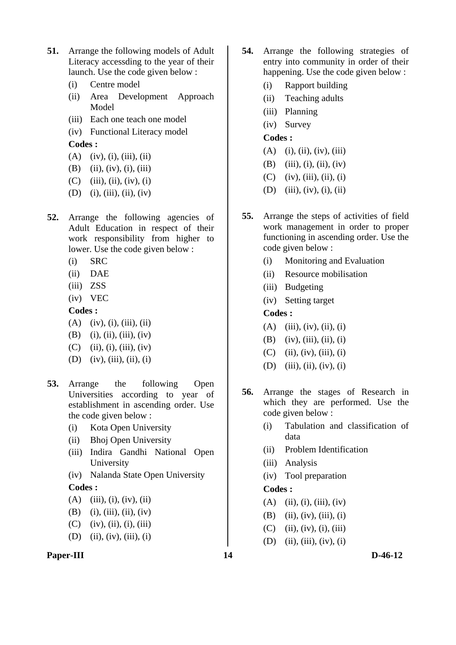- **51.** Arrange the following models of Adult Literacy accessding to the year of their launch. Use the code given below :
	- (i) Centre model
	- (ii) Area Development Approach Model
	- (iii) Each one teach one model
	- (iv) Functional Literacy model **Codes :**
	- $(A)$  (iv), (i), (iii), (ii)
	- (B) (ii), (iv), (i), (iii)
	- $(C)$  (iii), (ii), (iv), (i)
	- (D) (i), (iii), (ii), (iv)
- **52.** Arrange the following agencies of Adult Education in respect of their work responsibility from higher to lower. Use the code given below :
	- (i) SRC
	- (ii) DAE
	- (iii) ZSS
	- (iv) VEC

- $(A)$  (iv), (i), (iii), (ii)
- (B) (i), (ii), (iii), (iv)
- $(C)$  (ii), (i), (iii), (iv)
- (D) (iv), (iii), (ii), (i)
- **53.** Arrange the following Open Universities according to year of establishment in ascending order. Use the code given below :
	- (i) Kota Open University
	- (ii) Bhoj Open University
	- (iii) Indira Gandhi National Open University
	- (iv) Nalanda State Open University

## **Codes :**

- $(A)$  (iii), (i), (iv), (ii)
- (B) (i), (iii), (ii), (iv)
- $(C)$  (iv), (ii), (i), (iii)
- (D) (ii), (iv), (iii), (i)



- **54.** Arrange the following strategies of entry into community in order of their happening. Use the code given below :
	- (i) Rapport building
	- (ii) Teaching adults
	- (iii) Planning
	- (iv) Survey

## **Codes :**

- (A) (i), (ii), (iv), (iii)
- (B) (iii), (i), (ii), (iv)
- $(C)$  (iv), (iii), (ii), (i)
- (D) (iii), (iv), (i), (ii)
- **55.** Arrange the steps of activities of field work management in order to proper functioning in ascending order. Use the code given below :
	- (i) Monitoring and Evaluation
	- (ii) Resource mobilisation
	- (iii) Budgeting
	- (iv) Setting target

## **Codes :**

- $(A)$  (iii), (iv), (ii), (i)
- $(B)$  (iv), (iii), (ii), (i)
- $(C)$  (ii), (iv), (iii), (i)
- (D) (iii), (ii), (iv), (i)
- **56.** Arrange the stages of Research in which they are performed. Use the code given below :
	- (i) Tabulation and classification of data
	- (ii) Problem Identification
	- (iii) Analysis
	- (iv) Tool preparation

- $(A)$  (ii), (i), (iii), (iv)
- (B) (ii), (iv), (iii), (i)
- $(C)$  (ii), (iv), (i), (iii)
- $(D)$  (ii), (iii), (iv), (i)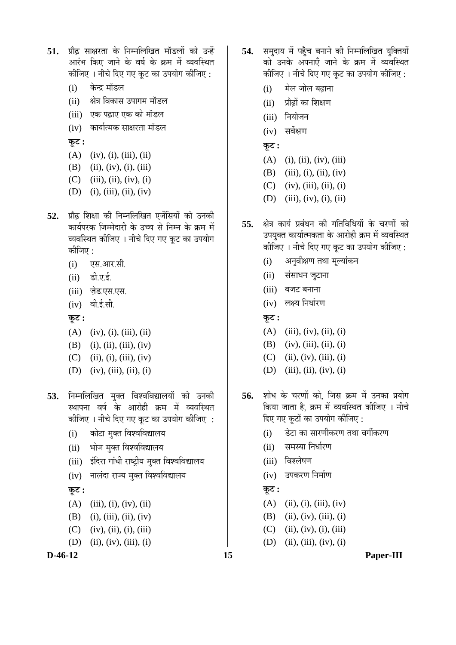- 51. प्रौढ साक्षरता के निम्नलिखित मॉडलों को उन्हें आरंभ किए जाने के वर्ष के क्रम में व्यवस्थित कीजिए । नीचे दिए गए कूट का उपयोग कीजिए :
	- (i) केन्द्र मॉडल
	- (ii) क्षेत्र विकास उपागम मॉडल
	- (iii) एक पढ़ाए एक को मॉडल
	- (iv) कार्यात्मक साक्षरता मॉडल

 $\overline{\phi}$ **:** 

- $(A)$  (iv), (i), (iii), (ii)
- $(B)$  (ii), (iv), (i), (iii)
- $(C)$  (iii), (ii), (iv), (i)
- $(D)$  (i), (iii), (ii), (iv)
- **52.** प्रौढ़ शिक्षा की निम्नलिखित एजेंसियों को उनकी कार्यपरक जिम्मेदारी के उच्च से निम्न के क्रम में व्यवस्थित कीजिए । नीचे दिए गए कूट का उपयोग कोजिए $:$ 
	- $(i)$   $Q\bar{Q}$   $Q\bar{Q}$ .  $\bar{Q}$
	- $(ii)$   $\vec{\mathbf{s}}$ .  $\nabla \cdot \vec{\mathbf{s}}$ .
	- (iii) जेड.एस.एस.
	- $(iv)$  वी.ई.सी.

<u>क</u>ूट :

- $(A)$  (iv), (i), (iii), (ii)
- (B) (i), (ii), (iii), (iv)
- $(C)$  (ii), (i), (iii), (iv)
- (D) (iv), (iii), (ii), (i)
- 53. निम्नलिखित मुक्त विश्वविद्यालयों को उनकी स्थापना वर्ष के आरोही क्रम में व्यवस्थित कीजिए । नीचे दिए गए कूट का उपयोग कीजिए :
	- $(i)$  कोटा मक्त विश्वविद्यालय
	- (ii) भोज मुक्त विश्वविद्यालय
	- (iii) इंदिरा गांधी राष्ट्रीय मुक्त विश्वविद्यालय
	- (iv) नालंदा राज्य मुक्त विश्वविद्यालय

### $\overline{\mathbf{p}}$ ट:

- $(A)$  (iii), (i), (iv), (ii)
- (B) (i), (iii), (ii), (iv)
- $(C)$  (iv), (ii), (i), (iii)
- (D) (ii), (iv), (iii), (i)

**D-46-12 15 Paper-III**

- 54. समदाय में पहुँच बनाने की निम्नलिखित यक्तियों को उनके अपनाएँ जाने के क्रम में व्यवस्थित कीजिए । नीचे दिए गए कूट का उपयोग कीजिए :
	- (i) मेल जोल बढाना
	- $(ii)$  प्रौढों का शिक्षण
	- $(iii)$  नियोजन
	- (iv) सर्वेक्षण
	- **Ûæú™ü :**
	- $(A)$  (i), (ii), (iv), (iii)
	- (B) (iii), (i), (ii), (iv)
	- $(C)$  (iv), (iii), (ii), (i)
	- (D) (iii), (iv), (i), (ii)
- 55. क्षेत्र कार्य प्रबंधन की गतिविधियों के चरणों को उपयक्त कार्यात्मकता के आरोही क्रम में व्यवस्थित कीजिए । नीचे दिए गए कूट का उपयोग कीजिए :
	- (i) अनुवीक्षण तथा मुल्यांकन
	- (ii) संसाधन जुटाना
	- $(iii)$  बजट बनाना
	- (iv) लक्ष्य निर्धारण
	- $\overline{\Phi}$ :
	- $(A)$  (iii), (iv), (ii), (i)
	- (B) (iv), (iii), (ii), (i)
	- $(C)$  (ii), (iv), (iii), (i)
	- (D) (iii), (ii), (iv), (i)
- **56.** शोध के चरणों को. जिस क्रम में उनका प्रयोग किया जाता है. क्रम में व्यवस्थित कीजिए । नीचे दिए गए कटों का उपयोग कीजिए :
	- $(i)$  हेटा का सारणीकरण तथा वर्गीकरण
	- (ii) समस्या निर्धारण
	- (iii) विश्लेषण
	- (iv) उपकरण निर्माण
	- $\overline{\phi}$ :
	- $(A)$  (ii), (i), (iii), (iv)
	- (B) (ii), (iv), (iii), (i)
	- $(C)$  (ii), (iv), (i), (iii)
	- (D) (ii), (iii), (iv), (i)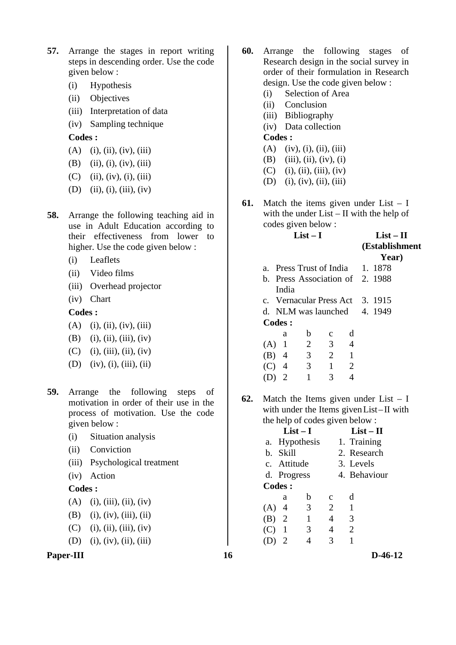- **57.** Arrange the stages in report writing steps in descending order. Use the code given below :
	- (i) Hypothesis
	- (ii) Objectives
	- (iii) Interpretation of data
	- (iv) Sampling technique

- $(A)$  (i), (ii), (iv), (iii)
- (B) (ii), (i), (iv), (iii)
- $(C)$  (ii), (iv), (i), (iii)
- (D) (ii), (i), (iii), (iv)
- **58.** Arrange the following teaching aid in use in Adult Education according to their effectiveness from lower to higher. Use the code given below :
	- (i) Leaflets
	- (ii) Video films
	- (iii) Overhead projector
	- (iv) Chart

#### **Codes :**

- $(A)$  (i), (ii), (iv), (iii)
- (B) (i), (ii), (iii), (iv)
- $(C)$  (i), (iii), (ii), (iv)
- (D) (iv), (i), (iii), (ii)
- **59.** Arrange the following steps of motivation in order of their use in the process of motivation. Use the code given below :
	- (i) Situation analysis
	- (ii) Conviction
	- (iii) Psychological treatment
	- (iv) Action

#### **Codes :**

- $(A)$  (i), (iii), (ii), (iv)
- (B) (i), (iv), (iii), (ii)
- $(C)$  (i), (ii), (iii), (iv)
- (D) (i), (iv), (ii), (iii)



- **60.** Arrange the following stages of Research design in the social survey in order of their formulation in Research design. Use the code given below :
	- (i) Selection of Area
	- (ii) Conclusion
	- (iii) Bibliography
	- (iv) Data collection

**Codes :**

- $(A)$  (iv), (i), (ii), (iii)
- (B) (iii), (ii), (iv), (i)
- $(C)$  (i), (ii), (iii), (iv)
- (D) (i), (iv), (ii), (iii)
- **61.** Match the items given under List I with the under List – II with the help of codes given below :

### **List – I List – II**

| (Establishment |
|----------------|
|----------------|

|                                  |               |  | Year) |
|----------------------------------|---------------|--|-------|
| a. Press Trust of India 1. 1878  |               |  |       |
| b. Press Association of 2. 1988  |               |  |       |
| India                            |               |  |       |
| c. Vernacular Press Act 3. 1915  |               |  |       |
| d. NLM was launched $\,$ 4. 1949 |               |  |       |
| Codes:                           |               |  |       |
| a                                | $\mathcal{C}$ |  |       |
|                                  |               |  |       |

| (A) 1   | $\mathbf{2}$ | 3 | 4            |
|---------|--------------|---|--------------|
| $(B)$ 4 | 3            | 2 | $\mathbf{I}$ |
| $(C)$ 4 | 3            | 1 | 2            |
| $(D)$ 2 | 1            | 3 | 4            |

**62.** Match the Items given under List – I with under the Items givenList–II with the help of codes given below :

|         |                | $List-I$      |                | $List - II$  |  |
|---------|----------------|---------------|----------------|--------------|--|
|         |                | a. Hypothesis |                | 1. Training  |  |
|         | b. Skill       |               |                | 2. Research  |  |
|         | c. Attitude    |               |                | 3. Levels    |  |
|         | d. Progress    |               |                | 4. Behaviour |  |
|         | Codes :        |               |                |              |  |
|         | a              | b             | C              | d            |  |
| $(A)$ 4 |                | 3             | $\overline{2}$ | 1            |  |
| $(B)$ 2 |                | 1             | $\overline{4}$ | 3            |  |
| (C)     | $\overline{1}$ | 3             | $\overline{4}$ | 2            |  |
| (D)     |                |               | 3              |              |  |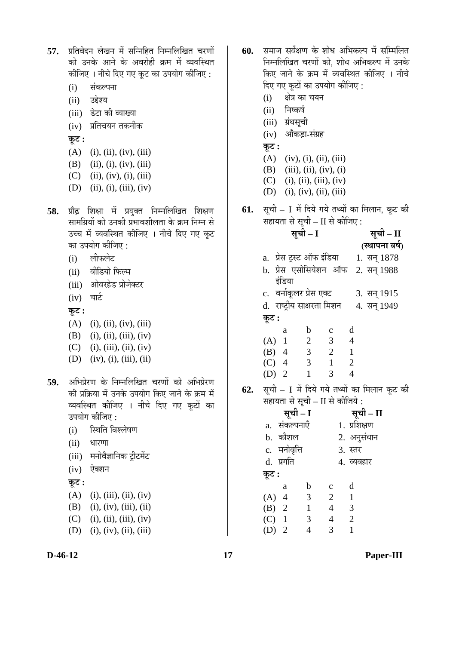57. प्रतिवेदन लेखन में सन्निहित निम्नलिखित चरणों को उनके आने के अवरोही क्रम में व्यवस्थित कीजिए । नीचे दिए गए कुट का उपयोग कीजिए :

- (i) संकल्पना
- $(ii)$  उद्देश्य
- (iii) डेटा की व्याख्या
- (iv) प्रतिचयन तकनीक
- $\overline{\phi}$ **:**
- (A) (i), (ii), (iv), (iii)
- (B) (ii), (i), (iv), (iii)
- (C) (ii), (iv), (i), (iii)
- (D) (ii), (i), (iii), (iv)
- 58. प्रौढ़ शिक्षा में प्रयुक्त निम्नलिखित शिक्षण सामग्रियों को उनकी प्रभावशीलता के क्रम निम्न से उच्च में व्यवस्थित कीजिए । नीचे दिए गए कुट का उपयोग कीजिए :
	- (i) लीफलेट
	- (ii) वीडियो फिल्म
	- (iii) ओवरहेड प्रोजेक्टर
	- $(iv)$  चार्ट
	- $\overline{\phi}$ :
	- $(A)$  (i), (ii), (iv), (iii)
	- (B) (i), (ii), (iii), (iv)
	- $(C)$  (i), (iii), (ii), (iv)
	- $(D)$  (iv), (i), (iii), (ii)
- 59. अभिप्रेरण के निम्नलिखित चरणों को अभिप्रेरण की प्रक्रिया में उनके उपयोग किए जाने के क्रम में व्यवस्थित कीजिए । नीचे दिए गए कूटों का उपयोग कीजिए :
	- (i) स्थिति विश्लेषण
	- (ii) धारणा
	- (iii) मनोवैज्ञानिक ट्रीटमेंट
	- $(iv)$  ऐक्शन

## $\Phi$ **:**

- $(A)$  (i), (iii), (ii), (iv)
- (B) (i), (iv), (iii), (ii)
- $(C)$  (i), (ii), (iii), (iv)
- $(D)$  (i), (iv), (ii), (iii)
- **60.** समाज सर्वेक्षण के शोध अभिकल्प में सम्मिलित निम्नलिखित चरणों को, शोध अभिकल्प में उनके किए जाने के क्रम में व्यवस्थित कीजिए । नीचे दिए गए कूटों का उपयोग कीजिए :
	- (i) क्षेत्र का चयन
	- (ii) निष्कर्ष
	- (iii) ग्रंथसूची
	- $(iv)$  औंकड़ा-संग्रह
	- $\overline{\phi}$ **:**
	- $(A)$  (iv), (i), (ii), (iii)
	- (B) (iii), (ii), (iv), (i)
	- $(C)$  (i), (ii), (iii), (iv)
	- (D) (i), (iv), (ii), (iii)
- **61.** सूची I में दिये गये तथ्यों का मिलान, कूट की सहायता से सूची – II से कीजिए :<br>सूची – I
- $\overline{A}$ ची II **(स्थापना वर्ष)** a. प्रेस ट्रस्ट ऑफ इंडिया  $1.$  सन्  $1878$ b. प्रेस एसोसियेशन ऑफ इंडिया 2. सन् 1988 c. वर्नाकूलर प्रेस एक्ट 3. सन् 1915 d. राष्ट्रीय साक्षरता मिशन 4. सन् 1949 <u>क</u>ट : a b c d (A) 1 2 3 4 (B) 4 3 2 1 (C) 4 3 1 2
- **62.** सूची I में दिये गये तथ्यों का मिलान कूट की सहायता से सूची – II से कीजिये :

(D) 2 1 3 4

**ÃÖæ"Öß – I ÃÖæ"Öß – II**  a. संकल्पनाएँ 1. प्रशिक्षण b. ÛúÖî¿Ö»Ö 2. †®ÖãÃÖÓ¬ÖÖ®Ö c. ´Ö®ÖÖê¾Öé×¢Ö 3. ßָü d. प्रगति 4. व्यवहार  $\Phi$ ः a b c d (A) 4 3 2 1 (B) 2 1 4 3 (C) 1 3 4 2 (D) 2 4 3 1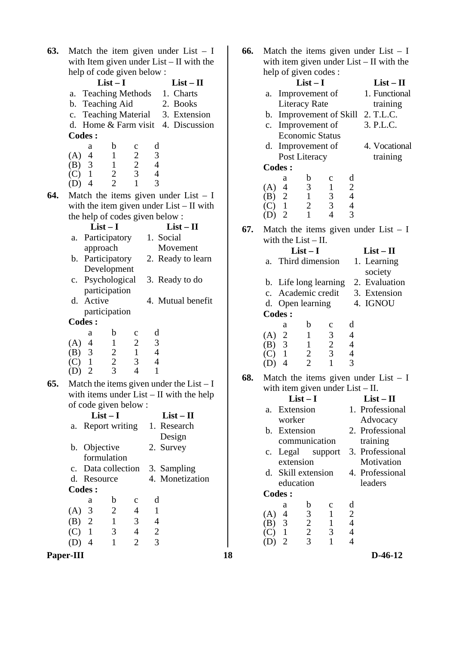| 63. | Match the item given under List $- I$                                                                                  |                                  |
|-----|------------------------------------------------------------------------------------------------------------------------|----------------------------------|
|     | with Item given under $List - II$ with the                                                                             |                                  |
|     | help of code given below:                                                                                              |                                  |
|     | $List-I$                                                                                                               | $List-II$                        |
|     | <b>Teaching Methods</b><br>a.                                                                                          | 1. Charts                        |
|     | <b>Teaching Aid</b><br>b.                                                                                              | 2. Books                         |
|     | <b>Teaching Material</b><br>$\mathbf{c}$ .                                                                             | 3. Extension                     |
|     | d. Home & Farm visit 4. Discussion                                                                                     |                                  |
|     | <b>Codes:</b>                                                                                                          |                                  |
|     | b<br>а<br>$\mathbf c$                                                                                                  | d                                |
|     | (A)<br>$\overline{\mathcal{A}}$<br>1                                                                                   | 3                                |
|     | $(B)$ 3<br>$\mathbf{1}$<br>$\mathbf{1}$                                                                                | $\overline{4}$<br>$\overline{4}$ |
|     | $\begin{array}{c} 2 \\ 2 \\ 3 \\ 1 \end{array}$<br>$\frac{2}{2}$<br>(C)<br>$\overline{4}$<br>(D)                       | 3                                |
| 64. | Match the items given under List $- I$                                                                                 |                                  |
|     | with the item given under $List - II$ with                                                                             |                                  |
|     | the help of codes given below :                                                                                        |                                  |
|     | $List-I$                                                                                                               | $List - II$                      |
|     | Participatory<br>a.                                                                                                    | 1. Social                        |
|     | approach                                                                                                               | Movement                         |
|     | Participatory<br>b.                                                                                                    | 2. Ready to learn                |
|     | Development                                                                                                            |                                  |
|     | Psychological<br>c.                                                                                                    | 3. Ready to do                   |
|     | participation                                                                                                          |                                  |
|     | Active<br>d.                                                                                                           | 4. Mutual benefit                |
|     | participation                                                                                                          |                                  |
|     | <b>Codes:</b>                                                                                                          |                                  |
|     | b<br>a<br>c                                                                                                            | d                                |
|     | (A)<br>4<br>$\mathbf{1}$                                                                                               | 3                                |
|     | $\frac{3}{1}$<br>(B)                                                                                                   | $\overline{4}$                   |
|     | $\begin{array}{c} 2 \\ 1 \\ 3 \\ 4 \end{array}$<br>$\begin{array}{c} 2 \\ 2 \\ 3 \end{array}$<br>(C)<br>$\overline{2}$ | 4<br>1                           |
|     | (D)                                                                                                                    |                                  |
| 65. | Match the items given under the $List - I$                                                                             |                                  |
|     | with items under $List - II$ with the help                                                                             |                                  |
|     | of code given below :                                                                                                  |                                  |
|     | $List-I$                                                                                                               | $List-II$                        |
|     | Report writing<br>a.                                                                                                   | 1. Research                      |
|     |                                                                                                                        | Design                           |
|     | Objective<br>b.<br>formulation                                                                                         | 2. Survey                        |
|     |                                                                                                                        |                                  |
|     | Data collection<br>$\mathbf{c}$ .<br>d.<br>Resource                                                                    | 3. Sampling<br>4. Monetization   |
|     | <b>Codes:</b>                                                                                                          |                                  |
|     | b                                                                                                                      | d                                |
|     | $\mathbf c$<br>а<br>$(A)$ 3<br>$\overline{c}$<br>4                                                                     | $\mathbf{1}$                     |
|     | $\overline{2}$<br>(B)<br>$\mathbf{1}$<br>3                                                                             | 4                                |
|     | $(C)$ 1<br>3<br>4                                                                                                      | $\overline{c}$                   |
|     |                                                                                                                        |                                  |

| 63.<br>Match the item given under List $- I$                                                                         | 66. | Match the items given under List $- I$                                                                                  |                 |
|----------------------------------------------------------------------------------------------------------------------|-----|-------------------------------------------------------------------------------------------------------------------------|-----------------|
| with Item given under $List - II$ with the                                                                           |     | with item given under $List - II$ with the                                                                              |                 |
| help of code given below:                                                                                            |     | help of given codes :                                                                                                   |                 |
| $List-I$<br>$List - II$                                                                                              |     | $List-I$                                                                                                                | $List - II$     |
| a. Teaching Methods<br>1. Charts                                                                                     |     | a. Improvement of                                                                                                       | 1. Functional   |
| b. Teaching Aid<br>2. Books                                                                                          |     | <b>Literacy Rate</b>                                                                                                    | training        |
| c. Teaching Material<br>3. Extension                                                                                 |     | b. Improvement of Skill 2. T.L.C.                                                                                       |                 |
| d. Home & Farm visit 4. Discussion                                                                                   |     | c. Improvement of                                                                                                       | 3. P.L.C.       |
| <b>Codes:</b>                                                                                                        |     | <b>Economic Status</b>                                                                                                  |                 |
| d<br>b<br>a<br>$\mathbf c$                                                                                           |     | d. Improvement of                                                                                                       | 4. Vocational   |
| $\mathbf{1}$<br>$(A)$ 4                                                                                              |     | Post Literacy                                                                                                           | training        |
| $\begin{array}{c} 3 \\ 4 \\ 4 \end{array}$<br>$\begin{array}{c} 2 \\ 2 \\ 3 \end{array}$<br>3<br>$\mathbf{1}$<br>(B) |     | <b>Codes:</b>                                                                                                           |                 |
| $\frac{2}{2}$<br>$\mathbf{1}$<br>(C)<br>3<br>$\mathbf{1}$<br>$\overline{4}$<br>(D)                                   |     | b<br>d<br>$\mathbf{C}$<br>a                                                                                             |                 |
|                                                                                                                      |     | $\mathfrak{Z}$<br>$\frac{2}{4}$<br>$\overline{4}$<br>(A)<br>$\mathbf{1}$                                                |                 |
| 64.<br>Match the items given under List $- I$                                                                        |     | $\mathbf{1}$<br>$\mathfrak{Z}$<br>2<br>(B)                                                                              |                 |
| with the item given under $List - II$ with                                                                           |     | 3<br>$\overline{2}$<br>$\overline{4}$<br>$\mathbf{1}$<br>(C)<br>3<br>$\mathbf{1}$<br>$\overline{4}$<br>2<br>(D)         |                 |
| the help of codes given below:                                                                                       |     |                                                                                                                         |                 |
| $List-I$<br>$List - II$                                                                                              | 67. | Match the items given under List $- I$                                                                                  |                 |
| a. Participatory<br>1. Social                                                                                        |     | with the $List - II$ .                                                                                                  |                 |
| approach<br>Movement                                                                                                 |     | $List-I$                                                                                                                | $List - II$     |
| b. Participatory<br>2. Ready to learn<br>Development                                                                 |     | Third dimension<br>a.                                                                                                   | 1. Learning     |
| c. Psychological<br>3. Ready to do                                                                                   |     |                                                                                                                         | society         |
| participation                                                                                                        |     | b. Life long learning                                                                                                   | 2. Evaluation   |
| d. Active<br>4. Mutual benefit                                                                                       |     | c. Academic credit                                                                                                      | 3. Extension    |
| participation                                                                                                        |     | d. Open learning                                                                                                        | 4. IGNOU        |
| <b>Codes:</b>                                                                                                        |     | <b>Codes:</b>                                                                                                           |                 |
| d<br>b<br>$\mathbf C$<br>a                                                                                           |     | b<br>d<br>$\mathbf C$<br>a                                                                                              |                 |
| $\mathbf{2}$<br>$\mathfrak{Z}$<br>$(A)$ 4<br>$\mathbf{1}$                                                            |     | 2<br>$\mathfrak{Z}$<br>(A)<br>$\mathbf{1}$<br>$\overline{4}$<br>$\overline{4}$<br>$\mathfrak{Z}$<br>$\mathbf{1}$<br>(B) |                 |
| $\overline{4}$<br>$\mathbf{1}$<br>3<br>$\overline{c}$<br>(B)                                                         |     | $rac{2}{3}$<br>$\overline{4}$<br>$\mathbf{1}$<br>(C)                                                                    |                 |
| $\overline{2}$<br>3<br>$\overline{4}$<br>$\mathbf{1}$<br>(C)                                                         |     | $\frac{2}{2}$<br>3<br>$\mathbf{1}$<br>$\overline{4}$<br>(D)                                                             |                 |
| 3<br>$\mathbf{1}$<br>$\overline{2}$<br>$\overline{4}$<br>(D)                                                         |     |                                                                                                                         |                 |
| Match the items given under the List $- I$<br>65.                                                                    | 68. | Match the items given under List $- I$                                                                                  |                 |
| with items under $List - II$ with the help                                                                           |     | with item given under $List - II$ .<br>$List-I$                                                                         | $List - II$     |
| of code given below:                                                                                                 |     | a. Extension                                                                                                            | 1. Professional |
| $List-I$<br>$List - II$                                                                                              |     | worker                                                                                                                  | Advocacy        |
| a. Report writing<br>1. Research                                                                                     |     | b. Extension                                                                                                            | 2. Professional |
| Design                                                                                                               |     | communication                                                                                                           | training        |
| b. Objective<br>2. Survey                                                                                            |     | c. Legal<br>support                                                                                                     | 3. Professional |
| formulation                                                                                                          |     | extension                                                                                                               | Motivation      |
| c. Data collection<br>3. Sampling                                                                                    |     | d. Skill extension                                                                                                      | 4. Professional |
| 4. Monetization<br>d. Resource                                                                                       |     | education                                                                                                               | leaders         |
| <b>Codes:</b>                                                                                                        |     | <b>Codes:</b>                                                                                                           |                 |
| d<br>b<br>a<br>c                                                                                                     |     | d<br>b<br>c<br>a                                                                                                        |                 |
| $(A)$ 3<br>$\overline{2}$<br>$\mathbf{1}$<br>4                                                                       |     | $\mathfrak{Z}$<br>$\overline{4}$<br>(A)<br>$\mathbf{1}$                                                                 |                 |
| 3<br>$(B)$ 2<br>$\mathbf{1}$<br>$\overline{4}$                                                                       |     | $\begin{array}{c} 2 \\ 4 \\ 4 \end{array}$<br>$\mathfrak{Z}$<br>(B)<br>$\mathbf{1}$                                     |                 |
| $\frac{2}{3}$<br>$\mathfrak{Z}$<br>$\overline{4}$<br>$\mathbf{1}$<br>(C)                                             |     | $\frac{2}{3}$<br>3<br>$\mathbf{1}$<br>(C)                                                                               |                 |
| $\overline{2}$<br>$\mathbf{1}$<br>$(D)$ 4                                                                            |     | $\mathbf{1}$<br>$\overline{4}$<br>2<br>(D)                                                                              |                 |
| Paper-III<br>18                                                                                                      |     |                                                                                                                         | $D-46-12$       |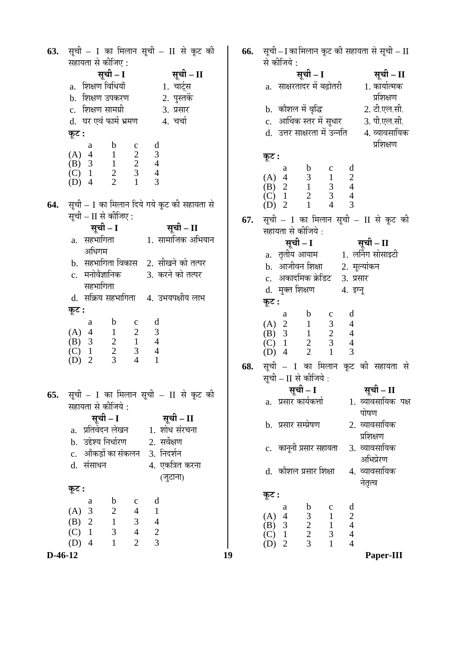**63.** सूची – I का मिलान सूची – II से कूट की सहायता से कीजिए : **ÃÖæ"Öß – I ÃÖæ"Öß – II**  a. ׿ÖõÖÞÖ ×¾Ö׬ֵÖÖÑ 1. "ÖÖ™ÔËüÃÖ b. शिक्षण उपकरण c. ׿ÖõÖÞÖ ÃÖÖ´ÖÝÖÏß 3. ¯ÖÏÃÖÖ¸ü d. घर एवं फार्म भ्रमण 4. चर्चा  $\Phi$ ः a b c d (A)  $4$  1 2 3<br>(B)  $3$  1 2 4 (B)  $3 \t 1 \t 2 \t 4$ <br>(C)  $1 \t 2 \t 3 \t 4$  $\begin{array}{cccc} \text{(C)} & 1 & 2 & 3 & 4 \\ \text{(D)} & 4 & 2 & 1 & 3 \end{array}$  $(D)$  4 64. सूची – I का मिलान दिये गये कूट की सहायता से सची – II से कीजिए : **ÃÖæ"Öß – I ÃÖæ"Öß – II**   $a.$  सहभागिता अधिगम 1. सामाजिक अभियान b. सहभागिता विकास 2. सीखने को तत्पर c. मनोवैज्ञानिक सहभागिता 3. करने को तत्पर d. सक्रिय सहभागिता 4. उभयपक्षीय लाभ  $\Phi$ **:**  a b c d (A)  $\begin{matrix} 4 & 1 & 2 & 3 \\ 1 & 3 & 2 & 1 & 4 \end{matrix}$ (B)  $3$   $2$   $1$   $4$ <br>(C)  $1$   $2$   $3$   $4$ (C)  $1$   $2$   $3$   $4$ <br>(D)  $2$   $3$   $4$   $1$  $(D)$  2 **65.** सूची – I का मिलान सूची – II से कूट की सहायता से कीजिये : **ÃÖæ"Öß – I ÃÖæ"Öß – II**  a. प्रतिवेदन लेखन 1. शोध संरचना b. उद्देश्य निर्धारण 2. सर्वेक्षण c. औंकड़ों का संकलन 3. निदर्शन d. संसाधन 4. एकत्रित करना (जुटाना)  $\Phi$ **:**  a b c d (A) 3 2 4 1 (B) 2 1 3 4 (C)  $1 \t 3 \t 4 \t 2$ <br>(D)  $4 \t 1 \t 2 \t 3$  $(D)$  4 1 2

**D-46-12 19 Paper-III 66.** सूची – I का मिलान कूट की सहायता से सूची – II से कीजिये : **ÃÖæ"Öß – I ÃÖæ"Öß – II**  a. साक्षरतादर में बढ़ोतरी 1. कार्यात्मक प्रशिक्षण b. ÛúÖî¿Ö»Ö ´Öë ¾Öéרü 2. ™üß.‹»Ö.ÃÖß. c. आर्थिक स्तर में सुधार 3. पी.एल.सी.<br>d. उत्तर साक्षरता में उन्नति 4. व्यावसायिक d. उत्तर साक्षरता में उन्नति प्रशिक्षण  $\overline{\phi}$ **:**  a b c d (A)  $\begin{matrix} 4 & 3 & 1 & 2 \\ 1 & 2 & 1 & 3 & 4 \end{matrix}$  $(B)$  2 (C)  $1$  2 3 4<br>(D)  $2$  1 4 3  $(D)$  2 **67.** सूची – I का मिलान सूची – II से कूट की सहायता से कीजिये : **ÃÖæ"Öß – I ÃÖæ"Öß – II**  a. तृतीय आयाम <br />
1. लर्निंग सोसाइटी b. आजीवन शिक्षा 2. मूल्यांकन c. अकादमिक क्रेडिट 3. प्रसार d. मुक्त शिक्षण 4. इग्नु  $\Phi$ **:**  a b c d (A)  $2 \t 1 \t 3 \t 4$ <br>(B)  $3 \t 1 \t 2 \t 4$ (B) 3 1 2 4<br>(C) 1 2 3 4 (C)  $1$   $2$   $3$   $4$ <br>(D)  $4$   $2$   $1$   $3$  $(D)$  4 68. सूची – I का मिलान कूट की सहायता से सूची – II से कीजिये : **ÃÖæ"Öß – I ÃÖæ"Öß – II**  a. प्रसार कार्यकर्त्ता <sup>1.</sup> व्यावसायिक पक्ष पोषण b. प्रसार सम्प्रेषण 2. व्यावसायिक ा प्रशिक्षण<br>3. व्यावसायिक c. कानुनी प्रसार सहायता आभिप्रेरण d. कौशल प्रसार शिक्षा - 4. व्यावसायिक नेतृत्व **Ûæú™ü :**  a b c d (A)  $\begin{array}{ccc} 4 & 3 & 1 & 2 \\ (B) & 3 & 2 & 1 & 4 \end{array}$ (B)  $3$  2 1 4<br>(C)  $1$  2 3 4 (C)  $1 \t 2 \t 3 \t 4$ <br>(D)  $2 \t 3 \t 1 \t 4$  $(D)$  2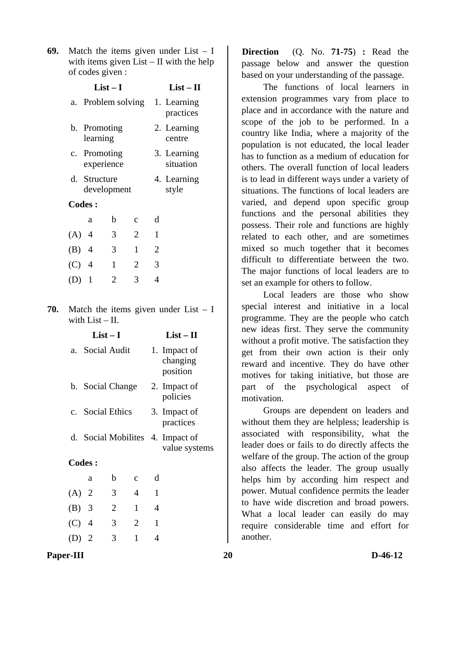**69.** Match the items given under List – I with items given List – II with the help of codes given :

|               | $List-I$                    |              |              |                | $List - II$              |
|---------------|-----------------------------|--------------|--------------|----------------|--------------------------|
|               | a. Problem solving          |              |              |                | 1. Learning<br>practices |
|               | b. Promoting<br>learning    |              |              |                | 2. Learning<br>centre    |
|               | c. Promoting<br>experience  |              |              |                | 3. Learning<br>situation |
|               | d. Structure<br>development |              |              |                | 4. Learning<br>style     |
| <b>Codes:</b> |                             |              |              |                |                          |
|               | a                           | b            | $\mathbf{C}$ | d              |                          |
| $(A)$ 4       |                             | 3            | 2            | $\mathbf{1}$   |                          |
| $(B)$ 4       |                             | 3            | 1            | $\overline{2}$ |                          |
| $(C)$ 4       |                             | $\mathbf{1}$ | 2            | 3              |                          |
|               | 1                           | 2            | 3            | 4              |                          |
|               |                             |              |              |                |                          |

**70.** Match the items given under List – I with List – II.

|         | $List-I$         |                |                |              | $List - II$                                       |
|---------|------------------|----------------|----------------|--------------|---------------------------------------------------|
| а.      | Social Audit     |                |                |              | 1. Impact of<br>changing<br>position              |
|         | b. Social Change |                |                |              | 2. Impact of<br>policies                          |
|         | c. Social Ethics |                |                |              | 3. Impact of<br>practices                         |
|         |                  |                |                |              | d. Social Mobilites 4. Impact of<br>value systems |
|         | <b>Codes:</b>    |                |                |              |                                                   |
|         | a                | b              | $\mathbf{C}$   | d            |                                                   |
| $(A)$ 2 |                  | 3              | $\overline{4}$ | 1            |                                                   |
| $(B)$ 3 |                  | $\overline{2}$ | 1              | 4            |                                                   |
| $(C)$ 4 |                  | 3              | $\overline{2}$ | $\mathbf{1}$ |                                                   |
| $(D)$ 2 |                  | 3              | 1              | 4            |                                                   |

**Direction** (Q. No. **71-75**) **:** Read the passage below and answer the question based on your understanding of the passage.

 The functions of local learners in extension programmes vary from place to place and in accordance with the nature and scope of the job to be performed. In a country like India, where a majority of the population is not educated, the local leader has to function as a medium of education for others. The overall function of local leaders is to lead in different ways under a variety of situations. The functions of local leaders are varied, and depend upon specific group functions and the personal abilities they possess. Their role and functions are highly related to each other, and are sometimes mixed so much together that it becomes difficult to differentiate between the two. The major functions of local leaders are to set an example for others to follow.

 Local leaders are those who show special interest and initiative in a local programme. They are the people who catch new ideas first. They serve the community without a profit motive. The satisfaction they get from their own action is their only reward and incentive. They do have other motives for taking initiative, but those are part of the psychological aspect of motivation.

 Groups are dependent on leaders and without them they are helpless; leadership is associated with responsibility, what the leader does or fails to do directly affects the welfare of the group. The action of the group also affects the leader. The group usually helps him by according him respect and power. Mutual confidence permits the leader to have wide discretion and broad powers. What a local leader can easily do may require considerable time and effort for another.

Paper-III 20 D-46-12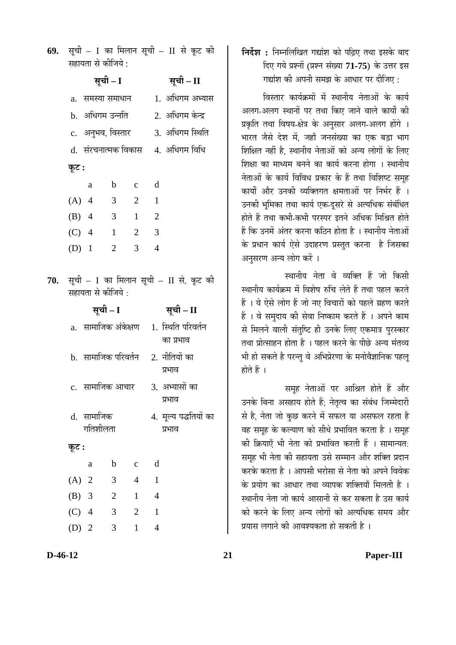| 69. सूची – I का मिलान सूची – II से कूट की |  |
|-------------------------------------------|--|
| सहायता से कीजिये :                        |  |

|     |                                         | सूची – I            |                |                                        | सूची – II                                                |  |
|-----|-----------------------------------------|---------------------|----------------|----------------------------------------|----------------------------------------------------------|--|
|     | a.   समस्या समाधान                      |                     |                |                                        | 1. अधिगम अभ्यास                                          |  |
|     | b.  अधिगम उन्नति                        |                     |                |                                        | 2. अधिगम केन्द्र                                         |  |
|     |                                         |                     |                | c. अनुभव, विस्तार 3. अधिगम स्थिति      |                                                          |  |
|     |                                         |                     |                |                                        | d. संरचनात्मक विकास     4. अधिगम विधि                    |  |
|     | कूट :                                   |                     |                |                                        |                                                          |  |
|     | a                                       | $\mathbf{b}$        | $\overline{c}$ | $\mathbf d$                            |                                                          |  |
|     | (A) 4 3                                 |                     | 2 1            |                                        |                                                          |  |
|     | (B) 4 3 1 2                             |                     |                |                                        |                                                          |  |
|     | $(C)$ 4                                 | $1 \quad 2 \quad 3$ |                |                                        |                                                          |  |
|     | $(D)$ 1                                 | $\overline{2}$      | $3 \quad 4$    |                                        |                                                          |  |
| 70. | सहायता से कीजिये :                      |                     |                | सूची - I का मिलान सूची - II से, कूट की |                                                          |  |
|     |                                         |                     |                |                                        |                                                          |  |
|     |                                         | सूची – I            |                |                                        | सूची - II                                                |  |
|     |                                         |                     |                |                                        | a.  सामाजिक अंकेक्षण    1.  स्थिति परिवर्तन<br>का प्रभाव |  |
|     | b.  सामाजिक परिवर्तन     2.  नीतियों का |                     |                |                                        | प्रभाव                                                   |  |
|     |                                         |                     |                |                                        | c.  सामाजिक आचार       3.  अभ्यासों का<br>प्रभाव         |  |
|     | d. सामाजिक                              | गतिशीलता            |                |                                        | 4. मूल्य पद्धतियों का<br>प्रभाव                          |  |
|     | कूट :                                   |                     |                |                                        |                                                          |  |
|     | a                                       | $\mathbf b$         | $\mathbf c$    | d                                      |                                                          |  |
|     | (A)<br>$\overline{2}$                   | 3                   | $\overline{4}$ | $\mathbf{1}$                           |                                                          |  |
|     | $(B)$ 3                                 | $\overline{c}$      | $\mathbf{1}$   | 4                                      |                                                          |  |
|     | $(C)$ 4                                 | 3                   | $\overline{2}$ | $\mathbf{1}$                           |                                                          |  |

**निर्देश :** निम्नलिखित गद्यांश को पढ़िए तथा इसके बाद दिए गये प्रश्नों (प्रश्न संख्या 71-75) के उत्तर इस गद्यांश की अपनी समझ के आधार पर दीजिए :

<u>विस्तार कार्यक्रमों में स्थानीय नेताओं के कार्य</u> अलग-अलग स्थानों पर तथा किए जाने वाले कार्यों की प्रकृति तथा विषय-क्षेत्र के अनुसार अलग-अलग होंगे । भारत जैसे देश में. जहाँ जनसंख्या का एक बड़ा भाग शिक्षित नहीं है. स्थानीय नेताओं को अन्य लोगों के लिए शिक्षा का माध्यम बनने का कार्य करना होगा । स्थानीय नेताओं के कार्य विविध प्रकार के हैं तथा विशिष्ट समूह कार्यों और उनकी व्यक्तिगत क्षमताओं पर निर्भर हैं । उनकी भूमिका तथा कार्य एक-दूसरे से अत्यधिक संबंधित होते हैं तथा कभी-कभी परस्पर इतने अधिक मिश्रित होते हैं कि उनमें अंतर करना कठिन होता है । स्थानीय नेताओं के प्रधान कार्य ऐसे उदाहरण प्रस्तुत करना है जिसका अनुसरण अन्य लोग करें ।

स्थानीय नेता वे व्यक्ति हैं जो किसी स्थानीय कार्यक्रम में विशेष रुचि लेते हैं तथा पहल करते हैं । ये ऐसे लोग हैं जो नए विचारों को पहले ग्रहण करते हैं । वे समुदाय की सेवा निष्काम करते हैं । अपने काम से मिलने वाली संतुष्टि ही उनके लिए एकमात्र पुरस्कार तथा प्रोत्साहन होता है । पहल करने के पीछे अन्य मंतव्य भी हो सकते है परन्तु वे अभिप्रेरणा के मनोवैज्ञानिक पहलू होते हैं ।

समह नेताओं पर आश्रित होते हैं और उनके बिना असहाय होते हैं; नेतृत्व का संबंध जिम्मेदारी से है, नेता जो कुछ करने में सफल या असफल रहता है वह समूह के कल्याण को सीधे प्रभावित करता है । समूह की क्रियाएँ भी नेता को प्रभावित करती हैं । सामान्यत: समूह भी नेता की सहायता उसे सम्मान और शक्ति प्रदान करके करता है । आपसी भरोसा से नेता को अपने विवेक के प्रयोग का आधार तथा व्यापक शक्तियाँ मिलती है । स्थानीय नेता जो कार्य आसानी से कर सकता है उस कार्य को करने के लिए अन्य लोगों को अत्यधिक समय और प्रयास लगाने की आवश्यकता हो सकती है ।

**D-46-12 21 Paper-III**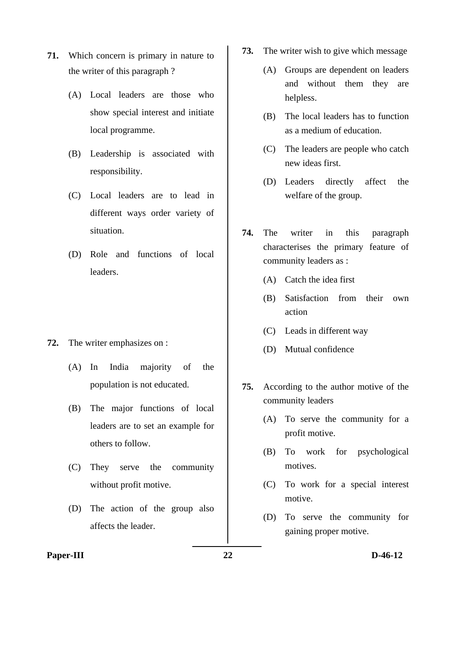- **71.** Which concern is primary in nature to the writer of this paragraph ?
	- (A) Local leaders are those who show special interest and initiate local programme.
	- (B) Leadership is associated with responsibility.
	- (C) Local leaders are to lead in different ways order variety of situation.
	- (D) Role and functions of local leaders.
- **72.** The writer emphasizes on :
	- (A) In India majority of the population is not educated.
	- (B) The major functions of local leaders are to set an example for others to follow.
	- (C) They serve the community without profit motive.
	- (D) The action of the group also affects the leader.
- **73.** The writer wish to give which message
	- (A) Groups are dependent on leaders and without them they are helpless.
	- (B) The local leaders has to function as a medium of education.
	- (C) The leaders are people who catch new ideas first.
	- (D) Leaders directly affect the welfare of the group.
- **74.** The writer in this paragraph characterises the primary feature of community leaders as :
	- (A) Catch the idea first
	- (B) Satisfaction from their own action
	- (C) Leads in different way
	- (D) Mutual confidence
- **75.** According to the author motive of the community leaders
	- (A) To serve the community for a profit motive.
	- (B) To work for psychological motives.
	- (C) To work for a special interest motive.
	- (D) To serve the community for gaining proper motive.

#### Paper-III 22 D-46-12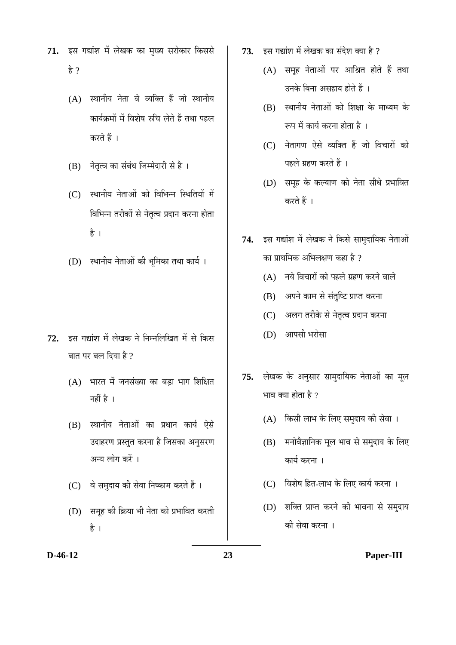- 71. इस गद्यांश में लेखक का मुख्य सरोकार किससे है ?
	- $(A)$  स्थानीय नेता वे व्यक्ति हैं जो स्थानीय कार्यक्रमों में विशेष रुचि लेते हैं तथा पहल करते हैं ।
	- (B) नेतृत्व का संबंध जिम्मेदारी से है।
	- (C) स्थानीय नेताओं को विभिन्न स्थितियों में विभिन्न तरीकों से नेतृत्व प्रदान करना होता है ।
	- (D) स्थानीय नेताओं की भूमिका तथा कार्य।

- 72. इस गद्यांश में लेखक ने निम्नलिखित में से किस बात पर बल दिया है ?
	- $(A)$  भारत में जनसंख्या का बड़ा भाग शिक्षित नहीं है $\perp$
	- (B) स्थानीय नेताओं का प्रधान कार्य ऐसे उदाहरण प्रस्तुत करना है जिसका अनुसरण अन्य लोग करें ।
	- (C) वे समुदाय की सेवा निष्काम करते हैं ।
	- (D) समूह की क्रिया भी नेता को प्रभावित करती है ।
- $73.$   $\overline{5}$ स गद्यांश में लेखक का संदेश क्या है ?
	- $(A)$  समूह नेताओं पर आश्रित होते हैं तथा उनके बिना असहाय होते हैं ।
	- $(B)$  स्थानीय नेताओं को शिक्षा के माध्यम के रूप में कार्य करना होता है ।
	- $(C)$  नेतागण ऐसे व्यक्ति हैं जो विचारों को पहले ग्रहण करते हैं ।
	- (D) समह के कल्याण को नेता सीधे प्रभावित करते हैं ।
- 74. इस गद्यांश में लेखक ने किसे सामदायिक नेताओं का प्राथमिक अभिलक्षण कहा है  $\overline{v}$ 
	- $(A)$  नये विचारों को पहले ग्रहण करने वाले
	- (B) अपने काम से संतुष्टि प्राप्त करना
	- (C) अलग तरीके से नेतृत्व प्रदान करना
	- (D) आपसी भरोसा
- 75. लेखक के अनुसार सामुदायिक नेताओं का मूल भाव क्या होता है ?
	- (A) किसी लाभ के लिए समुदाय की सेवा ।
	- $(B)$  मनोवैज्ञानिक मूल भाव से समुदाय के लिए कार्य करना ।
	- (C) विशेष हित-लाभ के लिए कार्य करना ।
	- (D) शक्ति प्राप्त करने की भावना से समुदाय की सेवा करना ।

#### **D-46-12 23 Paper-III**